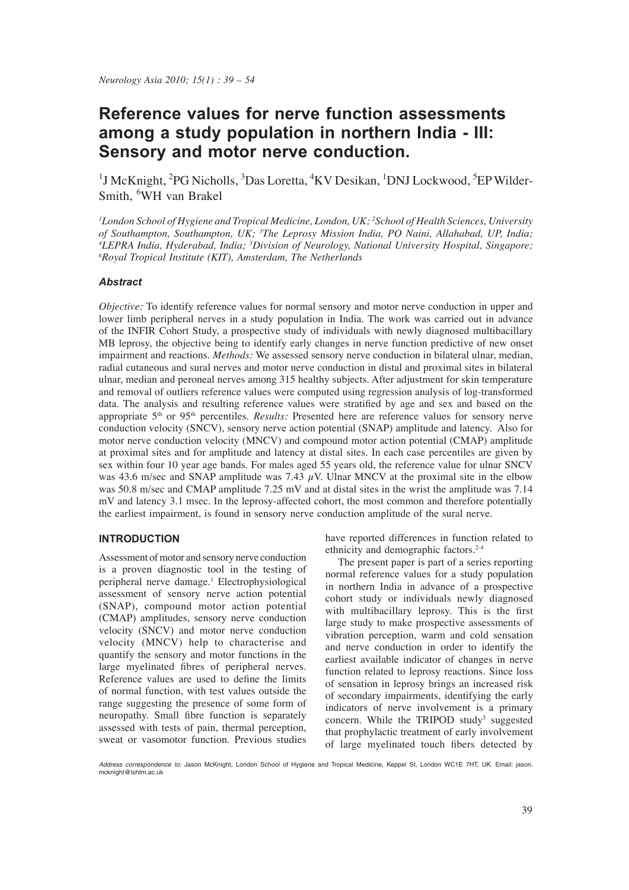# **Reference values for nerve function assessments among a study population in northern India - III: Sensory and motor nerve conduction.**

<sup>1</sup>J McKnight, <sup>2</sup>PG Nicholls, <sup>3</sup>Das Loretta, <sup>4</sup>KV Desikan, <sup>1</sup>DNJ Lockwood, <sup>5</sup>EP Wilder-Smith, <sup>6</sup>WH van Brakel

*1 London School of Hygiene and Tropical Medicine, London, UK; <sup>2</sup> School of Health Sciences, University*  of Southampton, Southampton, UK; <sup>3</sup>The Leprosy Mission India, PO Naini, Allahabad, UP, India;<br><sup>4</sup>I EPRA India, Hyderabad, India; <sup>5</sup>Division of Neurology, National University Hospital, Singapore; <sup>4</sup>LEPRA India, Hyderabad, India; <sup>5</sup>Division of Neurology, National University Hospital, Singapore; *6Royal Tronical Institute (KIT)* Amsterdam The Netherlands *Royal Tropical Institute (KIT), Amsterdam, The Netherlands*

## *Abstract*

*Objective:* To identify reference values for normal sensory and motor nerve conduction in upper and lower limb peripheral nerves in a study population in India. The work was carried out in advance of the INFIR Cohort Study, a prospective study of individuals with newly diagnosed multibacillary MB leprosy, the objective being to identify early changes in nerve function predictive of new onset impairment and reactions. *Methods:* We assessed sensory nerve conduction in bilateral ulnar, median, radial cutaneous and sural nerves and motor nerve conduction in distal and proximal sites in bilateral ulnar, median and peroneal nerves among 315 healthy subjects. After adjustment for skin temperature and removal of outliers reference values were computed using regression analysis of log-transformed data. The analysis and resulting reference values were stratified by age and sex and based on the appropriate 5<sup>th</sup> or 95<sup>th</sup> percentiles. *Results:* Presented here are reference values for sensory nerve conduction velocity (SNCV), sensory nerve action potential (SNAP) amplitude and latency. Also for motor nerve conduction velocity (MNCV) and compound motor action potential (CMAP) amplitude at proximal sites and for amplitude and latency at distal sites. In each case percentiles are given by sex within four 10 year age bands. For males aged 55 years old, the reference value for ulnar SNCV was 43.6 m/sec and SNAP amplitude was 7.43  $\mu$ V. Ulnar MNCV at the proximal site in the elbow was 50.8 m/sec and CMAP amplitude 7.25 mV and at distal sites in the wrist the amplitude was 7.14 mV and latency 3.1 msec. In the leprosy-affected cohort, the most common and therefore potentially the earliest impairment, is found in sensory nerve conduction amplitude of the sural nerve.

## **INTRODUCTION**

Assessment of motor and sensory nerve conduction is a proven diagnostic tool in the testing of peripheral nerve damage.<sup>1</sup> Electrophysiological assessment of sensory nerve action potential (SNAP), compound motor action potential (CMAP) amplitudes, sensory nerve conduction velocity (SNCV) and motor nerve conduction velocity (MNCV) help to characterise and quantify the sensory and motor functions in the large myelinated fibres of peripheral nerves. Reference values are used to define the limits of normal function, with test values outside the range suggesting the presence of some form of neuropathy. Small fibre function is separately assessed with tests of pain, thermal perception, sweat or vasomotor function. Previous studies

have reported differences in function related to ethnicity and demographic factors.2-4

 The present paper is part of a series reporting normal reference values for a study population in northern India in advance of a prospective cohort study or individuals newly diagnosed with multibacillary leprosy. This is the first large study to make prospective assessments of vibration perception, warm and cold sensation and nerve conduction in order to identify the earliest available indicator of changes in nerve function related to leprosy reactions. Since loss of sensation in leprosy brings an increased risk of secondary impairments, identifying the early indicators of nerve involvement is a primary concern. While the TRIPOD study<sup>5</sup> suggested that prophylactic treatment of early involvement of large myelinated touch fibers detected by

*Address correspondence to:* Jason McKnight, London School of Hygiene and Tropical Medicine, Keppel St, London WC1E 7HT, UK. Email: jason. mcknight@lshtm.ac.uk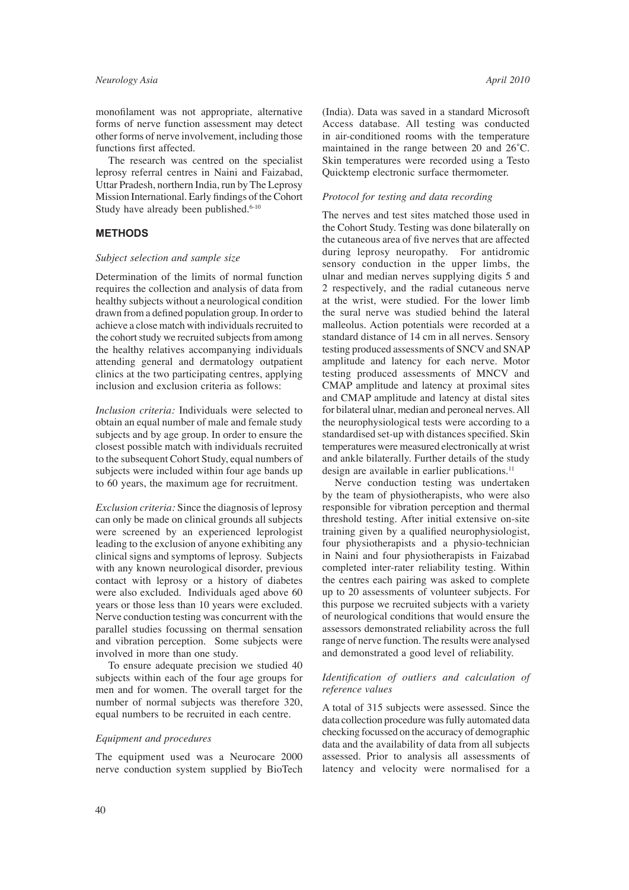monofilament was not appropriate, alternative forms of nerve function assessment may detect other forms of nerve involvement, including those functions first affected.

 The research was centred on the specialist leprosy referral centres in Naini and Faizabad, Uttar Pradesh, northern India, run by The Leprosy Mission International. Early findings of the Cohort Study have already been published.<sup>6-10</sup>

## **METHODS**

#### *Subject selection and sample size*

Determination of the limits of normal function requires the collection and analysis of data from healthy subjects without a neurological condition drawn from a defined population group. In order to achieve a close match with individuals recruited to the cohort study we recruited subjects from among the healthy relatives accompanying individuals attending general and dermatology outpatient clinics at the two participating centres, applying inclusion and exclusion criteria as follows:

*Inclusion criteria:* Individuals were selected to obtain an equal number of male and female study subjects and by age group. In order to ensure the closest possible match with individuals recruited to the subsequent Cohort Study, equal numbers of subjects were included within four age bands up to 60 years, the maximum age for recruitment.

*Exclusion criteria:* Since the diagnosis of leprosy can only be made on clinical grounds all subjects were screened by an experienced leprologist leading to the exclusion of anyone exhibiting any clinical signs and symptoms of leprosy. Subjects with any known neurological disorder, previous contact with leprosy or a history of diabetes were also excluded. Individuals aged above 60 years or those less than 10 years were excluded. Nerve conduction testing was concurrent with the parallel studies focussing on thermal sensation and vibration perception. Some subjects were involved in more than one study.

 To ensure adequate precision we studied 40 subjects within each of the four age groups for men and for women. The overall target for the number of normal subjects was therefore 320, equal numbers to be recruited in each centre.

#### *Equipment and procedures*

The equipment used was a Neurocare 2000 nerve conduction system supplied by BioTech (India). Data was saved in a standard Microsoft Access database. All testing was conducted in air-conditioned rooms with the temperature maintained in the range between 20 and 26˚C. Skin temperatures were recorded using a Testo Quicktemp electronic surface thermometer.

#### *Protocol for testing and data recording*

The nerves and test sites matched those used in the Cohort Study. Testing was done bilaterally on the cutaneous area of five nerves that are affected during leprosy neuropathy. For antidromic sensory conduction in the upper limbs, the ulnar and median nerves supplying digits 5 and 2 respectively, and the radial cutaneous nerve at the wrist, were studied. For the lower limb the sural nerve was studied behind the lateral malleolus. Action potentials were recorded at a standard distance of 14 cm in all nerves. Sensory testing produced assessments of SNCV and SNAP amplitude and latency for each nerve. Motor testing produced assessments of MNCV and CMAP amplitude and latency at proximal sites and CMAP amplitude and latency at distal sites for bilateral ulnar, median and peroneal nerves. All the neurophysiological tests were according to a standardised set-up with distances specified. Skin temperatures were measured electronically at wrist and ankle bilaterally. Further details of the study design are available in earlier publications.<sup>11</sup>

 Nerve conduction testing was undertaken by the team of physiotherapists, who were also responsible for vibration perception and thermal threshold testing. After initial extensive on-site training given by a qualified neurophysiologist, four physiotherapists and a physio-technician in Naini and four physiotherapists in Faizabad completed inter-rater reliability testing. Within the centres each pairing was asked to complete up to 20 assessments of volunteer subjects. For this purpose we recruited subjects with a variety of neurological conditions that would ensure the assessors demonstrated reliability across the full range of nerve function. The results were analysed and demonstrated a good level of reliability.

#### Identification of outliers and calculation of *reference values*

A total of 315 subjects were assessed. Since the data collection procedure was fully automated data checking focussed on the accuracy of demographic data and the availability of data from all subjects assessed. Prior to analysis all assessments of latency and velocity were normalised for a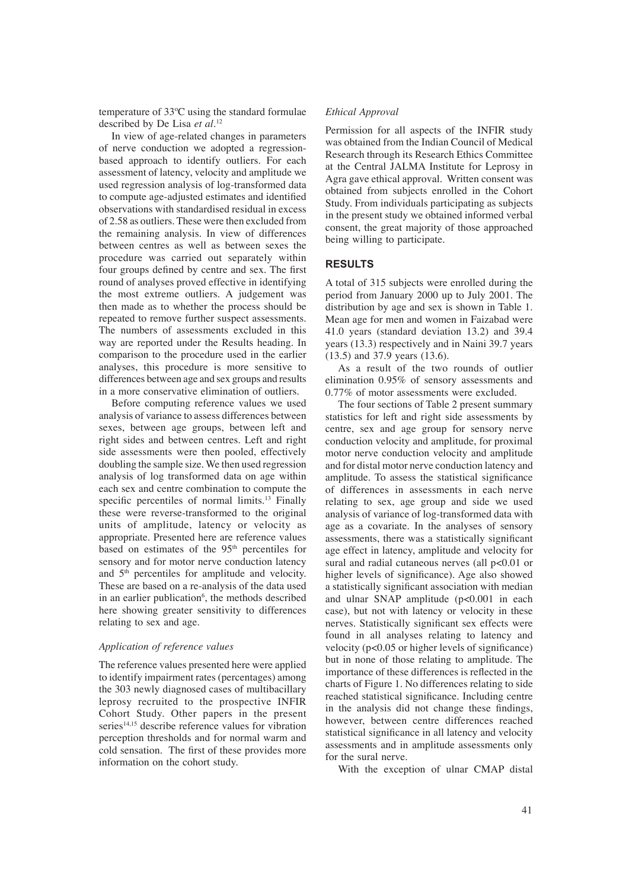temperature of 33ºC using the standard formulae described by De Lisa *et al*. 12

 In view of age-related changes in parameters of nerve conduction we adopted a regressionbased approach to identify outliers. For each assessment of latency, velocity and amplitude we used regression analysis of log-transformed data to compute age-adjusted estimates and identified observations with standardised residual in excess of 2.58 as outliers. These were then excluded from the remaining analysis. In view of differences between centres as well as between sexes the procedure was carried out separately within four groups defined by centre and sex. The first round of analyses proved effective in identifying the most extreme outliers. A judgement was then made as to whether the process should be repeated to remove further suspect assessments. The numbers of assessments excluded in this way are reported under the Results heading. In comparison to the procedure used in the earlier analyses, this procedure is more sensitive to differences between age and sex groups and results in a more conservative elimination of outliers.

 Before computing reference values we used analysis of variance to assess differences between sexes, between age groups, between left and right sides and between centres. Left and right side assessments were then pooled, effectively doubling the sample size. We then used regression analysis of log transformed data on age within each sex and centre combination to compute the specific percentiles of normal limits. $13$  Finally these were reverse-transformed to the original units of amplitude, latency or velocity as appropriate. Presented here are reference values based on estimates of the 95<sup>th</sup> percentiles for sensory and for motor nerve conduction latency and 5<sup>th</sup> percentiles for amplitude and velocity. These are based on a re-analysis of the data used in an earlier publication<sup>6</sup>, the methods described here showing greater sensitivity to differences relating to sex and age.

#### *Application of reference values*

The reference values presented here were applied to identify impairment rates (percentages) among the 303 newly diagnosed cases of multibacillary leprosy recruited to the prospective INFIR Cohort Study. Other papers in the present series $14,15$  describe reference values for vibration perception thresholds and for normal warm and cold sensation. The first of these provides more information on the cohort study.

#### *Ethical Approval*

Permission for all aspects of the INFIR study was obtained from the Indian Council of Medical Research through its Research Ethics Committee at the Central JALMA Institute for Leprosy in Agra gave ethical approval. Written consent was obtained from subjects enrolled in the Cohort Study. From individuals participating as subjects in the present study we obtained informed verbal consent, the great majority of those approached being willing to participate.

### **RESULTS**

A total of 315 subjects were enrolled during the period from January 2000 up to July 2001. The distribution by age and sex is shown in Table 1. Mean age for men and women in Faizabad were 41.0 years (standard deviation 13.2) and 39.4 years (13.3) respectively and in Naini 39.7 years (13.5) and 37.9 years (13.6).

 As a result of the two rounds of outlier elimination 0.95% of sensory assessments and 0.77% of motor assessments were excluded.

 The four sections of Table 2 present summary statistics for left and right side assessments by centre, sex and age group for sensory nerve conduction velocity and amplitude, for proximal motor nerve conduction velocity and amplitude and for distal motor nerve conduction latency and amplitude. To assess the statistical significance of differences in assessments in each nerve relating to sex, age group and side we used analysis of variance of log-transformed data with age as a covariate. In the analyses of sensory assessments, there was a statistically significant age effect in latency, amplitude and velocity for sural and radial cutaneous nerves (all p<0.01 or higher levels of significance). Age also showed a statistically significant association with median and ulnar SNAP amplitude (p<0.001 in each case), but not with latency or velocity in these nerves. Statistically significant sex effects were found in all analyses relating to latency and velocity ( $p<0.05$  or higher levels of significance) but in none of those relating to amplitude. The importance of these differences is reflected in the charts of Figure 1. No differences relating to side reached statistical significance. Including centre in the analysis did not change these findings, however, between centre differences reached statistical significance in all latency and velocity assessments and in amplitude assessments only for the sural nerve.

With the exception of ulnar CMAP distal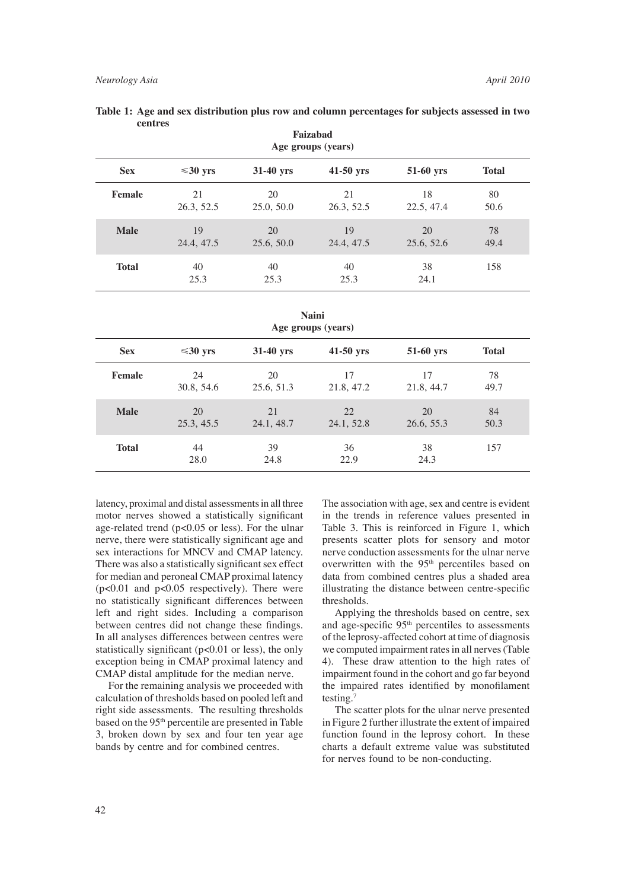|              |                  |                  | Age groups (years) |                  |              |
|--------------|------------------|------------------|--------------------|------------------|--------------|
| <b>Sex</b>   | $\leq 30$ yrs    | $31-40$ yrs      | $41-50$ yrs        | 51-60 yrs        | <b>Total</b> |
| Female       | 21<br>26.3, 52.5 | 20<br>25.0, 50.0 | 21<br>26.3, 52.5   | 18<br>22.5, 47.4 | 80<br>50.6   |
| <b>Male</b>  | 19<br>24.4, 47.5 | 20<br>25.6, 50.0 | 19<br>24.4, 47.5   | 20<br>25.6, 52.6 | 78<br>49.4   |
| <b>Total</b> | 40<br>25.3       | 40<br>25.3       | 40<br>25.3         | 38<br>24.1       | 158          |

**Faizabad Table 1: Age and sex distribution plus row and column percentages for subjects assessed in two centres**

| <b>Naini</b>       |  |
|--------------------|--|
| Age groups (years) |  |

|               |                  | $\circ$ $\circ$  | $\sim$<br>$\overline{\phantom{a}}$ |                  |              |  |
|---------------|------------------|------------------|------------------------------------|------------------|--------------|--|
| <b>Sex</b>    | $\leq 30$ yrs    | $31-40$ yrs      | 41-50 yrs                          | 51-60 yrs        | <b>Total</b> |  |
| <b>Female</b> | 24<br>30.8, 54.6 | 20<br>25.6, 51.3 | 17<br>21.8, 47.2                   | 17<br>21.8, 44.7 | 78<br>49.7   |  |
| <b>Male</b>   | 20<br>25.3, 45.5 | 21<br>24.1, 48.7 | 22<br>24.1, 52.8                   | 20<br>26.6, 55.3 | 84<br>50.3   |  |
| <b>Total</b>  | 44<br>28.0       | 39<br>24.8       | 36<br>22.9                         | 38<br>24.3       | 157          |  |

latency, proximal and distal assessments in all three motor nerves showed a statistically significant age-related trend (p<0.05 or less). For the ulnar nerve, there were statistically significant age and sex interactions for MNCV and CMAP latency. There was also a statistically significant sex effect for median and peroneal CMAP proximal latency  $(p<0.01$  and  $p<0.05$  respectively). There were no statistically significant differences between left and right sides. Including a comparison between centres did not change these findings. In all analyses differences between centres were statistically significant ( $p<0.01$  or less), the only exception being in CMAP proximal latency and CMAP distal amplitude for the median nerve.

 For the remaining analysis we proceeded with calculation of thresholds based on pooled left and right side assessments. The resulting thresholds based on the 95th percentile are presented in Table 3, broken down by sex and four ten year age bands by centre and for combined centres.

The association with age, sex and centre is evident in the trends in reference values presented in Table 3. This is reinforced in Figure 1, which presents scatter plots for sensory and motor nerve conduction assessments for the ulnar nerve overwritten with the 95<sup>th</sup> percentiles based on data from combined centres plus a shaded area illustrating the distance between centre-specific thresholds.

 Applying the thresholds based on centre, sex and age-specific 95<sup>th</sup> percentiles to assessments of the leprosy-affected cohort at time of diagnosis we computed impairment rates in all nerves (Table 4). These draw attention to the high rates of impairment found in the cohort and go far beyond the impaired rates identified by monofilament testing.7

 The scatter plots for the ulnar nerve presented in Figure 2 further illustrate the extent of impaired function found in the leprosy cohort. In these charts a default extreme value was substituted for nerves found to be non-conducting.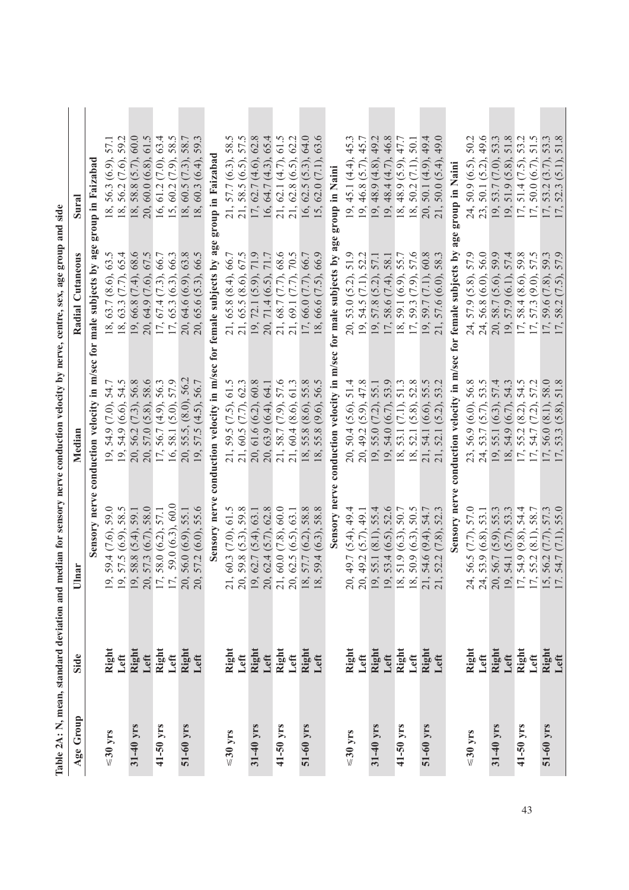| Age Group     | Side          | nar<br>$\Box$                                                                                                                                                                             | Median                                                                | Radial Cutaneous                                                  | Sural                                                     |
|---------------|---------------|-------------------------------------------------------------------------------------------------------------------------------------------------------------------------------------------|-----------------------------------------------------------------------|-------------------------------------------------------------------|-----------------------------------------------------------|
|               |               | Sensory nerve                                                                                                                                                                             | conduction velocity in m/sec for male subjects by ag-                 |                                                                   | group in Faizabad                                         |
| $\leq 30$ yrs | Right         | 59.4 (7.6), 59.0                                                                                                                                                                          | 54.7<br>$(7.0)$ ,<br>54.9<br>19,                                      | (8.6), 63.5<br>63.7<br>18,                                        | 57.1<br>$(6.9)$ ,<br>56.3<br>18,                          |
|               | Left          | 57.5 (6.9), 58.5                                                                                                                                                                          | 19, 54.9 (6.6), 54.5                                                  | (7.7), 65.4<br>63.3<br>18,                                        | 59.2<br>56.2 (7.6),<br>18,                                |
| $31-40$ yrs   | Right<br>Left | 58.8 (5.4), 59.1                                                                                                                                                                          | 56.8<br>56.2 (7.3),<br>20,                                            | (7.4), 68.6<br>66.8<br>19,                                        | 60.0<br>58.8 (5.7),<br>18,                                |
|               |               | 57.3 (6.7), 58.0                                                                                                                                                                          | 58.6<br>57.0 (5.8),<br>20,                                            | (7.6), 67.5<br>64.9<br>20,                                        | 61.5<br>$60.0(6.8)$ ,<br>20,                              |
| 41-50 yrs     | Right<br>Left | 58.0 (6.2), 57.1<br>$\frac{9}{19} \frac{9}{19} \frac{1}{17} \frac{1}{17}$                                                                                                                 | 17, 56.7 (4.9), 56.3                                                  | (7.3), 66.7<br>67.4<br>17,                                        | 63.4<br>(7.0),<br>61.2<br>16,                             |
|               |               | 59.0 (6.3), 60.0                                                                                                                                                                          | 16, 58.1 (5.0), 57.9                                                  | 65.3 (6.3), 66.3<br>17,                                           | $(7.9)$ , 58.5<br>60.2<br>15,                             |
| 51-60 yrs     | Right         | 56.0(6.9), 55.1<br>20,                                                                                                                                                                    | 20, 55.5, (8.0), 56.2                                                 | 20, 64.6 (6.9), 63.8                                              | 18, 60.5(7.3), 58.7                                       |
|               | Left          | 57.2 (6.0), 55.6                                                                                                                                                                          | 19, 57.5 (4.5), 56.7                                                  | 20, 65.6 (5.3), 66.5                                              | 59.<br>$18, 60.3(6.4)$ ,                                  |
|               |               | Sensory nerve                                                                                                                                                                             | conduction velocity in m/sec for female subjects by age               |                                                                   | group in Faizabad                                         |
| $\leq 30$ yrs | Right         |                                                                                                                                                                                           | 59.5 (7.5), 61.5                                                      | 21, 65.8 (8.4), 66.7                                              | 57.7 (6.3), 58.5<br>21,                                   |
|               | Left          |                                                                                                                                                                                           | 21, 59.5 (7.5), 61.5<br>21, 60.5 (7.7), 62.3                          | 65.5 (8.6), 67.5<br>21,                                           | 58.5 (6.5), 57.5<br>21,                                   |
| 31-40 yrs     | Right<br>Left | 21, 60.3 $(7.0)$ , 61.5<br>20, 59.8 $(5.3)$ , 59.8<br>20, 62.7 $(5.4)$ , 63.1<br>19, 62.7 $(5.4)$ , 63.1<br>20, 62.4 $(5.7)$ , 62.8<br>21, 60.0 $(7.8)$ , 60.0<br>20, 62.5 $(6.5)$ , 63.1 | 61.6(6.2), 60.8<br>20,                                                | 71.9<br>72.1 (5.9),<br>19,                                        | 62.8<br>$62.7(4.6)$ ,<br>17,                              |
|               |               |                                                                                                                                                                                           | 64.1<br>63.9 (6.4),<br>20,                                            | $71.7$<br>$(6.5)$ ,<br>71.4<br>20,                                | 65.4<br>64.7 (4.3),<br>16,                                |
| 41-50 yrs     | Right<br>Left |                                                                                                                                                                                           | 21, 58.7 (7.9), 57.6                                                  | (7.7), 68.6<br>68.7<br>21,                                        | 61.5<br>62.1 (4.7),<br>21,                                |
|               |               |                                                                                                                                                                                           | 21, 60.4 (8.6), 61.3                                                  | (7.7), 70.5<br>21, 69.1                                           | 62.2<br>$62.8(6.5)$ ,<br>21,                              |
| 51-60 yrs     | Right         | 57.7 (6.2), 58.8<br>$\frac{18}{18}$                                                                                                                                                       | 18, 55.8 (8.6), 55.8                                                  | (7.7), 66.7<br>66.0<br>17,                                        | 64.0<br>62.5 (5.3),<br>16,                                |
|               | Left          | $(6.3)$ , 58.8<br>59.4                                                                                                                                                                    | 18, 55.8 (9.6), 56.5                                                  | $(7.5)$ , 66.9<br>66.6<br>18,                                     | 63.6<br>62.0 (7.1),<br>15,                                |
|               |               |                                                                                                                                                                                           | Sensory nerve conduction velocity in m/sec for male subjects by age   |                                                                   | group in Naini                                            |
| $\leq 30$ yrs | Right         | 49.7 (5.4), 49.4<br>$\Omega$                                                                                                                                                              | 50.4(5.6), 51.4<br>20,                                                | 51.9<br>53.0 (5.2),<br>20,                                        | 45.1 (4.4),<br>19,                                        |
|               | Left          | 49.2 (5.7), 49.1<br>20,                                                                                                                                                                   | 20, 49.2 (5.9), 47.8                                                  | (7.1), 52.2<br>54.5<br>19,                                        | 46.8 (5.7), 45.7<br>19,                                   |
| $31-40$ yrs   | Right         | 55.4<br>55.1 (8.1),<br>19, 19,                                                                                                                                                            | 55.1<br>55.0 (7.2),<br>19,                                            | (5.2), 57.1<br>57.8<br>19,                                        | 49.2<br>$48.9(4.8)$ ,                                     |
|               | Left          | 52.6<br>53.4 (6.5),                                                                                                                                                                       | 53.9<br>54.0 (6.7),<br>19,                                            | $(7.4)$ , 58.1<br>58.6<br>17,                                     | 46.8<br>48.4 (4.7),<br>19, 19,                            |
| $41-50$ yrs   | Right         | 50.7<br>51.9 (6.3),<br>$\frac{8}{18}$                                                                                                                                                     | 18, 53.1 (7.1), 51.3                                                  | (6.9), 55.7<br>59.1<br>18,                                        | 47.7<br>48.9 (5.9),<br>18,                                |
|               | Left          | 50.5<br>50.9 (6.3),                                                                                                                                                                       | (5.8), 52.8<br>18, 52.1                                               | (7.9), 57.6<br>59.3<br>17,                                        | 50.1<br>(7.1),<br>50.2<br>18,                             |
| 51-60 yrs     | Right<br>Left | 54.7<br>$(9.4)$ ,<br>54.6<br>$\frac{1}{2}$                                                                                                                                                | 55.5<br>21, 54.1 (6.6),                                               | $60.8$<br>(7.1),<br>59.7<br>19,                                   | 49.4<br>50.1 (4.9),<br>20,                                |
|               |               | 52.3<br>(7.8),<br>52.2                                                                                                                                                                    | (5.2), 53.2<br>52.1                                                   | $\tilde{\mathcal{E}}$<br>58.<br>(6.0),<br>57.6<br>$\overline{21}$ | 49.0<br>$(5.4)$ ,<br>50.0                                 |
|               |               |                                                                                                                                                                                           | Sensory nerve conduction velocity in m/sec for female subjects by age |                                                                   | group in Naini                                            |
| $\leq 30$ yrs | Right         | 57.0<br>56.5 (7.7),                                                                                                                                                                       | 56.9 (6.0), 56.8<br>23,                                               | 57.9 (5.8), 57.9<br>24,                                           | 50.2<br>$50.9(6.5)$ ,<br>24,                              |
|               | Left          | 53.1<br>53.9 (6.8),<br>34.599177.                                                                                                                                                         | 53.5<br>24, 53.7 (5.7),                                               | 56.8 (6.0), 56.0<br>24,                                           | 49.6<br>50.1 (5.2),<br>23,                                |
| 31-40 yrs     | Right<br>Left | 55.3<br>56.7 (5.9),                                                                                                                                                                       | 57.4<br>19, 55.1 (6.3),                                               | 58.7 (5.6), 59.9<br>20,                                           | 53.3<br>53.7 (7.0),                                       |
|               |               | 53.3<br>54.1 (5.7),                                                                                                                                                                       | 54.3<br>$(6.7)$ ,<br>54.9<br>55.2<br>54.7<br>$\frac{18}{17}$          | 57.4<br>$(6.1)$ , $\vdots$<br>57.9<br>19,                         | 51.8<br>(5.8),<br>51.9<br>19, 17, 17, 19                  |
| 41-50 yrs     | Right         | 54.4<br>$(9.8)$ .<br>54.9                                                                                                                                                                 | 54.5<br>$(8.2)$ ,                                                     | 59.8<br>$(8.6)$ ,<br>58.4<br>$\overline{17}$ ,                    | 53.2<br>$(7.5)$ ,<br>51.4                                 |
|               | Left          | 58.7<br>$(8.1)$ ,<br>55.2                                                                                                                                                                 | 57.2<br>$(7.2)$ ,<br>$\left(\frac{1}{2}\right)$                       | 57.5<br>$(9.0)$ ,<br>573<br>17,                                   | 51.5<br>50.0 (6.7),                                       |
| 51-60 yrs     | Right<br>Left | 57.3<br>$(7.7)$ ,<br>56.2<br>15                                                                                                                                                           | 58.0<br>$(8.1)$ ,<br>56.0                                             | 59.3<br>(7.8),<br>59.6<br>17,                                     | 53.3<br>$(3.7)$ ,<br>53.2<br>$\overline{r}, \overline{r}$ |
|               |               | 55.0<br>54.7                                                                                                                                                                              | 51.8<br>$(5.8)$ .<br>53.3                                             | 57.9<br>$(7.5)$ .<br>58.2<br>$\overline{\Gamma}$                  | 51.8<br>$(5.1)$ .<br>52.3                                 |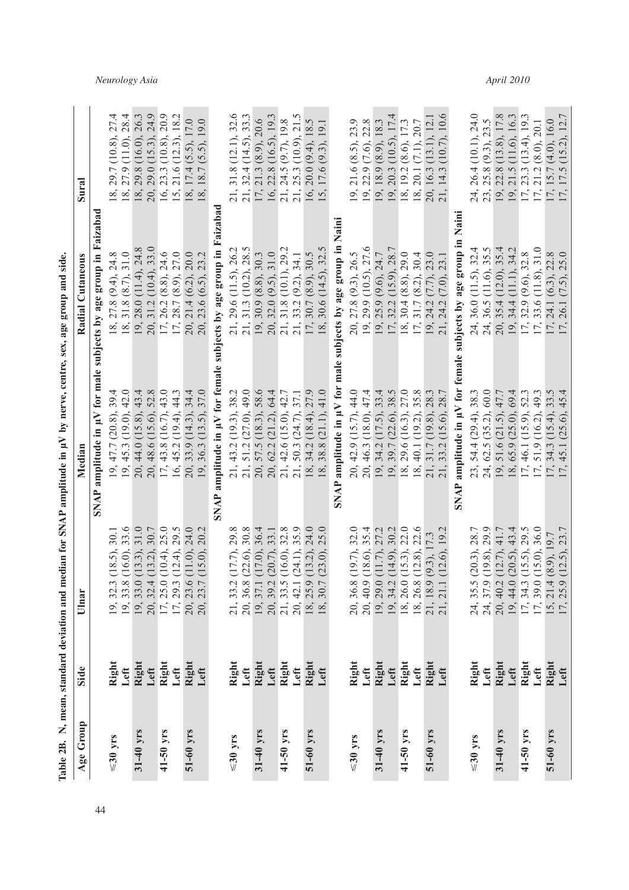| Age Group     | Side                   | Ulnar                                                                                                                            | Median                                                                                                                    | Radial Cutaneous                                                                                                               | Sural                                                                                                                                                                                              |
|---------------|------------------------|----------------------------------------------------------------------------------------------------------------------------------|---------------------------------------------------------------------------------------------------------------------------|--------------------------------------------------------------------------------------------------------------------------------|----------------------------------------------------------------------------------------------------------------------------------------------------------------------------------------------------|
|               |                        |                                                                                                                                  |                                                                                                                           | SNAP amplitude in $\mu V$ for male subjects by age group in Faizabad                                                           |                                                                                                                                                                                                    |
| $\leq$ 30 yrs | Right<br>Left          | 30.1<br>(18.5),<br>19, 32.3<br>19, 33.8                                                                                          | 19, 47.7 (20.8), 39.4<br>19, 45.3 (19.0), 42.0                                                                            | 18, 27.8 (9.4), 24.8                                                                                                           | 27.4<br>29.7 (10.8),<br>18,                                                                                                                                                                        |
|               |                        | 33.6<br>$(16.0)$ ,                                                                                                               |                                                                                                                           | 18, 31.8 (8.7), 31.0                                                                                                           | 28.4<br>18, 27.9 (11.0),                                                                                                                                                                           |
| 31-40 yrs     | Right<br>Left          | 31.0<br>$(13.3),$<br>$(13.2),$<br>$\begin{array}{l} 19,33,0\\ 20,32.4\\ 17,25.0\\ 17,29.3\\ 0\\ 20,23.5\\ 20,23.7\\ \end{array}$ | 20, 44.0 (15.8), 43.4                                                                                                     | $\begin{array}{c} 19, 28, 0 (11.4), 24.8 \\ 20, 31.2 (10.4), 33.0 \\ 17, 26.2 (8.8), 24.6 \\ 17, 28.7 (8.9), 27.0 \end{array}$ | 26.3<br>18, 29.8 (16.0),                                                                                                                                                                           |
|               |                        | $30.7$<br>$25.0$                                                                                                                 |                                                                                                                           |                                                                                                                                | 24.9                                                                                                                                                                                               |
| $41 - 50$ yrs | Right<br>Left          | $(10.4)$ ,                                                                                                                       | 20, 48.6 (15.6), 52.8<br>17, 43.8 (16.7), 43.0                                                                            |                                                                                                                                | 20.9<br>$20, 29.0$ (15.3), 2<br>16, 23.3 (10.8), 2                                                                                                                                                 |
|               |                        | 29.5<br>$(12.4)$ ,                                                                                                               | $16, 45.2$ (19.4), 44.3                                                                                                   |                                                                                                                                | 15, 21.6 (12.3), 18.2                                                                                                                                                                              |
| 51-60 yrs     | Right<br>Left          | 11.0), 24.0                                                                                                                      | 20, 33.9 (14.3), 34.4                                                                                                     | 20, 21.4 (6.2), 20.0                                                                                                           | 18, 17.4 $(5.5)$ , 17.0                                                                                                                                                                            |
|               |                        | 20.2<br>(15.0),                                                                                                                  | 19, 36.3 (13.5), 37.0                                                                                                     | 20, 23.6 (6.5), 23.2                                                                                                           | (5.5, 19.0)<br>18.7                                                                                                                                                                                |
|               |                        |                                                                                                                                  |                                                                                                                           | SNAP amplitude in µV for female subjects by age group in Faizaba                                                               |                                                                                                                                                                                                    |
| $\leq 30$ yrs |                        | $17.7$ , $29.8$                                                                                                                  |                                                                                                                           |                                                                                                                                |                                                                                                                                                                                                    |
|               | Right<br>Left          | (22.6), 30.8                                                                                                                     |                                                                                                                           | 21, 29.6 (11.5), 26.2<br>21, 31.3 (10.2), 28.5                                                                                 |                                                                                                                                                                                                    |
| 31-40 yrs     | Right<br>Left          | $(17.0), 36.4$<br>$(20.7), 33.1$<br>21, 332<br>20, 36.8<br>19, 37.1<br>19, 39.2<br>20, 42.1<br>20, 42.1<br>18, 30.7              | 21, 43.2 (19.3), 38.2<br>21, 51.2 (27.0), 49.0<br>20, 57.5 (18.3), 58.6<br>20, 62.2 (21.2), 64.4<br>21, 42.6 (15.0), 42.7 | $\begin{array}{c} 19, 30.9 \ (8.8), 30.3 \\ 20, 32.0 \ (9.5), 31.0 \end{array}$                                                | 21, 31.8 (12.1), 32.6<br>21, 32.4 (14.5), 33.3<br>17, 21.3 (8.9), 20.6<br>16, 22.8 (16.5), 19.3<br>21, 24.5 (9.7), 19.8<br>21, 25.3 (10.9), 21.5                                                   |
|               |                        |                                                                                                                                  |                                                                                                                           |                                                                                                                                |                                                                                                                                                                                                    |
| 41-50 yrs     | Right                  | 32.8<br>$(16.0)$ , $(24.1)$ ,                                                                                                    |                                                                                                                           | 21, 31.8 (10.1), 29.2                                                                                                          |                                                                                                                                                                                                    |
|               | Left                   | 35.9                                                                                                                             | 21, 50.3 (24.7), 37.1                                                                                                     | 21, 33.2 (9.2), 34.1                                                                                                           |                                                                                                                                                                                                    |
| 51-60 yrs     | Right<br>Left          | (13.2), 24.0<br>, 25.9                                                                                                           | 34.2 (18.4), 27.9<br>$\frac{18}{18}$                                                                                      | 17, 30.7 (8.9), 30.5                                                                                                           | 16, 20.0 $(9.4)$ , 18.5                                                                                                                                                                            |
|               |                        | 25.0<br>(23.0),                                                                                                                  | 38.8 (21.1), 41.0                                                                                                         | 18, 30.6 (14.5), 32.5                                                                                                          | $(9.3)$ , 19.1<br>15, 17.6                                                                                                                                                                         |
|               |                        |                                                                                                                                  |                                                                                                                           | SNAP amplitude in $\mu V$ for male subjects by age group in Naini                                                              |                                                                                                                                                                                                    |
| $\leq 30$ yrs |                        | (19.7), 32.0                                                                                                                     | 20, 42.9 (15.7), 44.0                                                                                                     |                                                                                                                                |                                                                                                                                                                                                    |
|               | Right<br>Left          | (18.6), 35.4<br>20, 36.8<br>20, 40.9                                                                                             | 20, 46.3 (18.0), 47.4                                                                                                     | 20, 27.8 (9.3), 26.5<br>19, 29.9 (10.5), 27.6                                                                                  | 19, 21.6 (8.5), 23.9<br>19, 22.9 (7.6), 22.8                                                                                                                                                       |
| 31-40 yrs     | Right                  | (11.7), 27.2                                                                                                                     |                                                                                                                           |                                                                                                                                |                                                                                                                                                                                                    |
|               |                        | 30.2<br>$(14.9)$ ,                                                                                                               |                                                                                                                           |                                                                                                                                |                                                                                                                                                                                                    |
| 41-50 yrs     | Left<br>Right          | (15.3), 22.0<br>19, 29.0<br>19, 34.2<br>18, 26.0<br>18, 26.8<br>21, 18.9<br>21, 21.1                                             | $19, 34.2 (17.5), 33.4$<br>$19, 39.7 (22.6), 38.5$<br>$18, 29.6 (16.3), 27.0$                                             | 19, 25.9 (9.6), 24.7<br>17, 32.2 (15.9), 28.7<br>18, 30.4 (8.8), 29.0                                                          | $\begin{array}{c} 19, 18.9 (8.9), 18.3 \\ 19, 20.3 (10.5), 17.4 \\ 18, 19.2 (8.6), 17.3 \end{array}$                                                                                               |
|               | Left                   | 22.6<br>(12.8),                                                                                                                  | 18, 40.1 (19.2), 35.8                                                                                                     | 17, 31.7 (8.2), 30.4                                                                                                           | 18, 20.1 (7.1), 20.7                                                                                                                                                                               |
| 51-60 yrs     | Right<br>Left          | $(9.3)$ , 17.3                                                                                                                   | 21, 31.7 (19.8), 28.3<br>21, 33.2 (15.6), 28.7                                                                            | 19, 24.2 (7.7), 23.0<br>21, 24.2 (7.0), 23.1                                                                                   | 20, 16.3 (13.1), 12.1<br>21, 14.3 (10.7), 10.6                                                                                                                                                     |
|               |                        | , 19.2<br>(12.6),                                                                                                                |                                                                                                                           | (7.0),                                                                                                                         | (10.7), 10.6                                                                                                                                                                                       |
|               |                        | <b>SNAP</b>                                                                                                                      | amplitude in µV for female subjects by age group in                                                                       | Naini                                                                                                                          |                                                                                                                                                                                                    |
| $\leq 30$ yrs |                        | $20.3$ ), $28.7$                                                                                                                 | 23, 54.4 (29.4), 38.3                                                                                                     |                                                                                                                                | 24, 26, 4 (10.1), 24.0<br>23, 25.8 (9.3), 23.5<br>19, 22.8 (13.8), 17.8<br>19, 21.5 (11.6), 16.3<br>17, 23.3 (13.4), 19.3<br>17, 15.7 (4.0), 16.0<br>17, 15.7 (4.0), 16.0<br>17, 17.5 (15.2), 12.7 |
|               | Right<br>Left          | (19.8), 29.9                                                                                                                     | 24, 62.5 (35.2), 60.0                                                                                                     |                                                                                                                                |                                                                                                                                                                                                    |
| 31-40 yrs     | Right<br>Left<br>Right | (12.7), 41.7<br>24, 35.5 (<br>24, 37.9 (<br>20, 40.2 (<br>17, 34.3 (<br>17, 39.0 (                                               | 19, 51.6 (21.5), 47.7                                                                                                     |                                                                                                                                |                                                                                                                                                                                                    |
|               |                        |                                                                                                                                  |                                                                                                                           |                                                                                                                                |                                                                                                                                                                                                    |
| 41-50 yrs     |                        | $(20.5)$ , 43.4<br>(15.5), 29.5<br>(15.0), 36.0                                                                                  |                                                                                                                           |                                                                                                                                |                                                                                                                                                                                                    |
|               | Left                   |                                                                                                                                  | 18, 65.9 $(25.0)$ , 69.4<br>17, 46.1 $(15.9)$ , 52.3<br>17, 51.9 $(16.2)$ , 49.3                                          | 24, 36.0 (11.5), 32.4<br>24, 36.5 (11.6), 35.5<br>20, 35.4 (12.0), 35.4<br>19, 34.4 (11.1), 34.2<br>17, 32.9 (9.6), 31.8       |                                                                                                                                                                                                    |
| 51-60 yrs     | Right<br>Left          | $(8.9)$ , 19.7<br>(12.5), 23.7<br>15, 21.4<br>17, 25.9                                                                           | $, 34.3$ (15.4), 33.5<br>, 45.1 (25.6), 45.4<br>17, 17,                                                                   | 17, 24.1 (6.3), 22.8<br>17, 26.1 (7.5), 25.0                                                                                   |                                                                                                                                                                                                    |
|               |                        | 23.7                                                                                                                             |                                                                                                                           |                                                                                                                                |                                                                                                                                                                                                    |

Table 2B. N, mean, standard deviation and median for SNAP amplitude in  $\mu$ V by nerve, centre, sex, age group and side. **Table 2B. N, mean, standard deviation and median for SNAP amplitude in μV by nerve, centre, sex, age group and side.** 

## *Neurology Asia April 2010*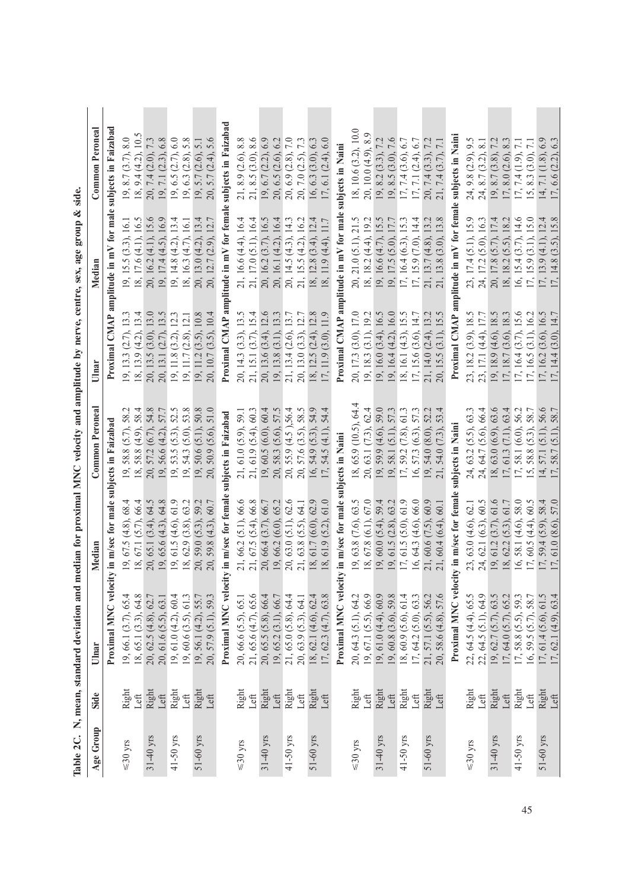|                |               |                                                                                                                      |                                                                                                                                                                                              | Table 2C. N, mean, standard deviation and median for proximal MNC velocity and amplitude by nerve, centre, sex, age group & side.                                        |                                                                                                                                                                                                                      |                                                                                                                                                                                                      |                                                                                                                                                                                                                                        |
|----------------|---------------|----------------------------------------------------------------------------------------------------------------------|----------------------------------------------------------------------------------------------------------------------------------------------------------------------------------------------|--------------------------------------------------------------------------------------------------------------------------------------------------------------------------|----------------------------------------------------------------------------------------------------------------------------------------------------------------------------------------------------------------------|------------------------------------------------------------------------------------------------------------------------------------------------------------------------------------------------------|----------------------------------------------------------------------------------------------------------------------------------------------------------------------------------------------------------------------------------------|
| Age Group      | Side          | Ulnar                                                                                                                | Median                                                                                                                                                                                       | Common Peronea                                                                                                                                                           | Ulnar                                                                                                                                                                                                                |                                                                                                                                                                                                      | Common Peroneal                                                                                                                                                                                                                        |
|                |               |                                                                                                                      | Proximal MNC velocity in m/sec for male subjects in Faizabad                                                                                                                                 |                                                                                                                                                                          |                                                                                                                                                                                                                      | Proximal CMAP amplitude in mV for male                                                                                                                                                               | subjects in Faizabad                                                                                                                                                                                                                   |
| ${\leq}30$ yrs | Right<br>Left | 19, 66.1 (3.7), 65.4<br>18, 65.1 (3.3), 64.8<br>20, 62.5 (4.8), 62.7                                                 |                                                                                                                                                                                              | 58.4<br>58.                                                                                                                                                              | $13.3$<br>$13.4$                                                                                                                                                                                                     |                                                                                                                                                                                                      |                                                                                                                                                                                                                                        |
| 31-40 yrs      | Right<br>Left | 20, 61.6 (5.5), 63.1                                                                                                 | 19, 67.5 (4.8), 68.4<br>18, 67.1 (5.7), 66.4<br>20, 65.1 (3.4), 64.5<br>19, 65.6 (4.3), 64.8<br>19, 61.5 (4.6), 61.9                                                                         | 54.8<br>$58.8(5.7),$<br>$58.8(4.9),$<br>$57.2(6.7),$<br>$56.6(4.2),$                                                                                                     | $\begin{array}{c} 13.0 \\ 13.5 \\ 12.3 \end{array}$<br>19, 13.3 $(2.7)$ , 1<br>18, 13.9 $(4.2)$ , 1<br>20, 13.5 $(3.0)$ , 1<br>20, 13.1 $(2.7)$ , 1                                                                  |                                                                                                                                                                                                      | $7.3$ $6.8$                                                                                                                                                                                                                            |
| 41-50 yrs      | Right<br>Left | 19, 61.0 (4.2), 60.4                                                                                                 |                                                                                                                                                                                              |                                                                                                                                                                          | $(3.2), 12.3$<br>$(2.8), 12.1$<br>$(3.5), 10.8$                                                                                                                                                                      |                                                                                                                                                                                                      | $6.0\,$<br>$5.8\,$                                                                                                                                                                                                                     |
| 51-60 yrs      | Right<br>Let  | 19, 60.6 (3.5), 61.3<br>19, 56.1 (4.2), 55.7<br>20, 57.9 (5.1), 59.3                                                 | 18, 62.9 $(3.8)$ , 63.2<br>20, 59.0 $(5.3)$ , 59.2<br>20, 59.8 $(4.3)$ , 60.7                                                                                                                | , 53.5 (5.3), 52.5<br>, 54.3 (5.0), 53.8<br>, 50.6 (5.1), 50.8<br>, 50.9 (5.6), 51.0<br><u>ງ ສ ສ ສ ສ ສ ສ ສ ສ</u>                                                         | $\begin{array}{c} 19, 11.8\ (3.2), 12.3 \\ 19, 11.7\ (2.8), 12.1 \\ 19, 11.2\ (3.5), 10.8 \\ 20, 10.7\ (3.5), 10.4 \end{array}$                                                                                      | 19, 15, (3,3), 16, 1<br>18, 17,6 (4,1), 16,5<br>20, 16, 2 (4,1), 15,6<br>20, 16, 2 (4,1), 15,6<br>19, 17, 4 (4,5), 16, 1<br>18, 16, 3 (4,7), 16, 1<br>20, 13, 0 (4,2), 13,4<br>20, 12, 7 (2,9), 13,4 | 19, 8.7 $(3.7)$ , 8.0<br>18, 9.4 $(4.2)$ , 10.5<br>20, 7.4 $(2.0)$ , 7.3<br>19, 6.5 $(2.7)$ , 6.0<br>19, 6.3 $(2.8)$ , 5.8<br>19, 5.7 $(2.6)$ , 5.1<br>19, 5.7 $(2.6)$ , 5.1                                                           |
|                |               |                                                                                                                      | Proximal MNC velocity in m/sec for female                                                                                                                                                    | ibjects in Faizabad                                                                                                                                                      | Proximal CMAP an                                                                                                                                                                                                     | itude in mV for fema                                                                                                                                                                                 | subjects in Faizabad                                                                                                                                                                                                                   |
| ${\leq}30$ yrs | Right<br>Left | 21, 65.6 (4.7), 65.6<br>20, 66.6 (5.5), 65.1                                                                         |                                                                                                                                                                                              |                                                                                                                                                                          |                                                                                                                                                                                                                      |                                                                                                                                                                                                      |                                                                                                                                                                                                                                        |
| 31-40 yrs      | Right<br>Left | 20, 65.5 (5.8), 66.4<br>19, 65.2 (3.1), 66.7<br>21, 65.0 (5.8), 64.4                                                 | $\begin{array}{l} 21, 66.2 \ (5.1), 66.6 \\ 21, 67.5 \ (5.4), 66.8 \\ 20, 66.4 \ (3.7), 66.7 \\ 19, 66.2 \ (6.0), 65.2 \\ 20, 63.0 \ (5.1), 62.6 \\ 21, 63.8 \ (5.5), 64.1 \end{array}$      | $, 61.0 (5.9), 59.1$<br>$, 61.9 (5.4), 60.3$<br>$, 60.5 (6.0), 60.4$<br>$, 58.3 (5.6), 57.5$<br>$, 55.9 (4.5), 56.4$<br>$, 57.6 (3.5), 58.5$<br>ส์ สำคัญ สาย<br>สำคัญ สำ | $\begin{array}{c} 20,\, 143,\, (3.3),\, 13.5 \\ 21,\, 15.1,\, (3.7),\, 15.4 \\ 20,\, 13.6,\, (3.4),\, 12.6 \\ 19,\, 13.8,\, (3.1),\, 13.3 \\ 21,\, 13.4,\, (2.6),\, 13.7 \\ 20,\, 13.0,\, (3.3),\, 12.7 \end{array}$ | 21, 16.6 (4.4), 16.4<br>21, 17.0 (5.1), 16.4<br>20, 16.2 (3.7), 16.5<br>20, 16.1 (4.2), 16.4<br>20, 14.5 (4.3), 14.3<br>21, 15.5 (4.2), 16.2                                                         | , 8.9 $(2.6)$ , 8.8<br>8.5 $(3.0)$ , 8.6<br>9.6 $(2.2)$ , 6.9<br>9.6 $(2.3)$ , 6.9<br>9.6 $(2.8)$ , 7.0<br>9.7.0 $(2.5)$ , 7.3<br>ส. ส. วั 8 ส. ส. <i>ล</i>                                                                            |
| 41-50 yrs      | Right<br>Left | 20, 63.9 (5.3), 64.1                                                                                                 |                                                                                                                                                                                              |                                                                                                                                                                          |                                                                                                                                                                                                                      |                                                                                                                                                                                                      |                                                                                                                                                                                                                                        |
| 51-60 yrs      | Right<br>Left | 18, 62.1 (4.6), 62.4<br>17, 62.3 (4.7), 63.8                                                                         | 61.7 (6.0), 62.9<br>61.0<br>18, 61.9 (5.2),<br>18,                                                                                                                                           | $54.9(5.3), 54.9$<br>$54.5(4.1), 54.4$<br>16, 17,                                                                                                                        | 18, 12.5 (2.4), 12.8<br>17, 11.9 (3.0), 11.9<br>$(3.0)$ ,                                                                                                                                                            | 18, 12.8 (3.4), 12.4<br>18, 11.9 (4.4), 11.7                                                                                                                                                         | 6.3<br>6.0<br>$16, 6.3$ $(3.0),$ $(17, 6.1)$ $(2.4),$                                                                                                                                                                                  |
|                |               | Proximal MNC velocit                                                                                                 | in m/sec for male subjects in Naini                                                                                                                                                          |                                                                                                                                                                          |                                                                                                                                                                                                                      | Proximal CMAP amplitude in mV for male                                                                                                                                                               | subjects in Naini                                                                                                                                                                                                                      |
| ${\leq}30$ yrs | Right<br>Left | $20, 64.3$ (5.1), 64.2<br>19, 67.1 (5.5), 66.9                                                                       |                                                                                                                                                                                              | 65.9 (10.5), 64.4                                                                                                                                                        |                                                                                                                                                                                                                      |                                                                                                                                                                                                      |                                                                                                                                                                                                                                        |
| 31-40 yrs      | Right<br>Left | 19, 61.0 $(4.4)$ , 60.9<br>19, 60.8 (3.6), 59.8                                                                      | $\begin{array}{c} 19, 63, 8\, (7.6), 63.5 \\ 18, 67.8\, (6.1), 67.0 \\ 19, 60.0\, (5.4), 59.4 \\ 19, 61.5\, (2.8), 63.2 \\ 17, 61.5\, (5.0), 61.9 \end{array}$                               | 18, 65.9 (10.5), 64.4<br>20, 63.1 (7.3), 62.4<br>29, 59.9 (4.6), 52.0<br>19, 58.1 (5.1), 57.3<br>17, 59.2 (7.8), 61.3                                                    |                                                                                                                                                                                                                      |                                                                                                                                                                                                      |                                                                                                                                                                                                                                        |
| 41-50 yrs      | Right<br>Left | 18, 60.9 (5.6), 61.4<br>17, 64.2 (5.0), 63.3                                                                         | 66.0<br>$16, 64.3 (4.6)$ ,                                                                                                                                                                   | 57.3<br>57.3 (6.3),<br>16,                                                                                                                                               |                                                                                                                                                                                                                      |                                                                                                                                                                                                      |                                                                                                                                                                                                                                        |
| 51-60 yrs      | Right<br>Left | 21, 57.1 (5.5), 56.2<br>20, 58.6 (4.8), 57.6                                                                         | 60.9<br>60.1<br>21,60.6(7.5),<br>, 60.4(6.4),                                                                                                                                                | $\overline{4}$<br>52.2<br>$54.0(8.0)$ ,<br>$54.0(7.3)$ ,<br>$\frac{19}{21}$                                                                                              | 20, 17.3 (3.0), 17.0<br>19, 18.3 (3.1), 19.2<br>19, 16.0 (3.4), 16.5<br>19, 16.4 (4.2), 16.0<br>18, 16.1 (4.3), 15.5<br>17, 15.6 (3.6), 14.7<br>21, 14.0 (2.4), 13.2<br>20, 15.5 (3.1), 15.5                         | 20, 21, 0 (5.1), 21.5<br>18, 18.2 (4.4), 19.2<br>19, 16.6 (4.7), 15.5<br>19, 17.5 (5.0), 17.7<br>17, 16.4 (6.3), 15.3<br>17, 15.9 (7.0), 14.4<br>21, 13.7 (4.8), 13.2<br>21, 13.8 (3.0), 13.8        | 18, 10.6 (3.2), 10.0<br>20, 10.0 (4.9), 8.9<br>19, 8.2 (3.3), 7.2<br>19, 8.5 (3.0), 7.2<br>17, 7.4 (3.6), 6.7<br>17, 7.1 (2.4), 6.7<br>20, 7.4 (3.3), 7.2<br>21, 7.4 (3.7), 7.1                                                        |
|                |               | Proximal MNC veloci                                                                                                  | y in m/sec for fema                                                                                                                                                                          | Naini<br>ibjects in                                                                                                                                                      | Proximal CMAP                                                                                                                                                                                                        | itude in mV for fem                                                                                                                                                                                  | subjects in Nain                                                                                                                                                                                                                       |
| $\leq 30$ yrs  | Right<br>Left |                                                                                                                      |                                                                                                                                                                                              | 63.3<br>66.4<br>$63.2(5.5)$ ,                                                                                                                                            |                                                                                                                                                                                                                      |                                                                                                                                                                                                      | $8.1\,$                                                                                                                                                                                                                                |
| 31-40 yrs      | Right<br>Left | 22, 64,5 (4,4), 65,5<br>22, 64,5 (5,1), 64,9<br>22, 64,5 (5,1), 64,9<br>19, 62,7 (5,7), 65,2<br>17, 58,8 (5,5), 59,3 |                                                                                                                                                                                              | 63.6                                                                                                                                                                     |                                                                                                                                                                                                                      |                                                                                                                                                                                                      | 8.3                                                                                                                                                                                                                                    |
| 41-50 yrs      | Right<br>Left |                                                                                                                      | 23, 63.0 (4.6), 62.1<br>24, 62.1 (6.3), 60.5<br>29, 61.2 (3.7), 61.6<br>19, 62.2 (5.3), 61.7<br>18, 58.1 (4.6), 58.0<br>17, 60.5 (4.4), 60.5<br>17, 59.4 (5.9), 58.4<br>17, 61.0 (8.6), 57.0 | $63.4$<br>$56.2$<br>$58.7$<br>$(64.7 (5.6),$<br>$(63.0 (6.9),$<br>$(61.3 (7.1),$<br>$(50.3, 1, 6.0),$<br>$(58.8 (5.3),$<br>ははほけいほけい                                      | 23, 18.2 (3.9), 18.5<br>23, 17.1 (4.4), 17.7<br>19, 18.9 (4.6), 18.5<br>17, 18.7 (3.6), 18.3<br>17, 16.5 (3.1), 16.2<br>17, 16.2 (3.6), 16.5<br>17, 14.4 (3.0), 14.7                                                 | 23, 17.4 (5.1), 15.9<br>24, 17.2 (5.0), 16.3<br>20, 17.8 (5.7), 17.4<br>20, 17.8 (5.7), 17.4<br>18, 18.2 (5.5), 18.2<br>16, 15.4 (3.7), 15.0<br>17, 13.9 (4.1), 12.4<br>17, 14.8 (3.5), 15.8         | $\overline{7.1}$<br>$\overline{7.1}$<br>$\begin{array}{l} 24, 9.8 \ (2.9), \\ 24, 8.7 \ (3.2), \\ 19, 8.7 \ (3.8), \\ 17, 8.0 \ (2.6), \\ 17, 7.4 \ (1.9), \\ 15, 8.3 \ (3.0), \\ 14, 7.1 \ (1.8), \\ 17, 6.6 \ (2.2), \\ \end{array}$ |
| 51-60 yrs      | Right<br>Left | 16, 59.5 $(5.7)$ , 58.7<br>17, 61.4 $(5.6)$ , 61.5<br>17, 62.1 $(4.9)$ , 63.4                                        | , 59.4 (5.9), 58.4<br>, 61.0 (8.6), 57.0                                                                                                                                                     | 57.1 (5.1), 56.6<br>58.7 (5.1), 58.7                                                                                                                                     |                                                                                                                                                                                                                      |                                                                                                                                                                                                      | 6.9<br>6.3                                                                                                                                                                                                                             |

| cex, age group & sale   |
|-------------------------|
|                         |
|                         |
|                         |
|                         |
|                         |
|                         |
|                         |
|                         |
|                         |
|                         |
|                         |
|                         |
| <b>A</b> hit marrio     |
|                         |
|                         |
|                         |
|                         |
|                         |
| ocity and ampli         |
|                         |
|                         |
|                         |
|                         |
|                         |
|                         |
|                         |
| י<br>י                  |
|                         |
|                         |
|                         |
|                         |
|                         |
|                         |
| lard deviation and medi |
|                         |
|                         |
|                         |
|                         |
|                         |
|                         |
| stand.                  |
|                         |
| mean.                   |
|                         |
| Ž                       |
| ز<br>ا<br>Ş             |
|                         |
| Table:                  |
|                         |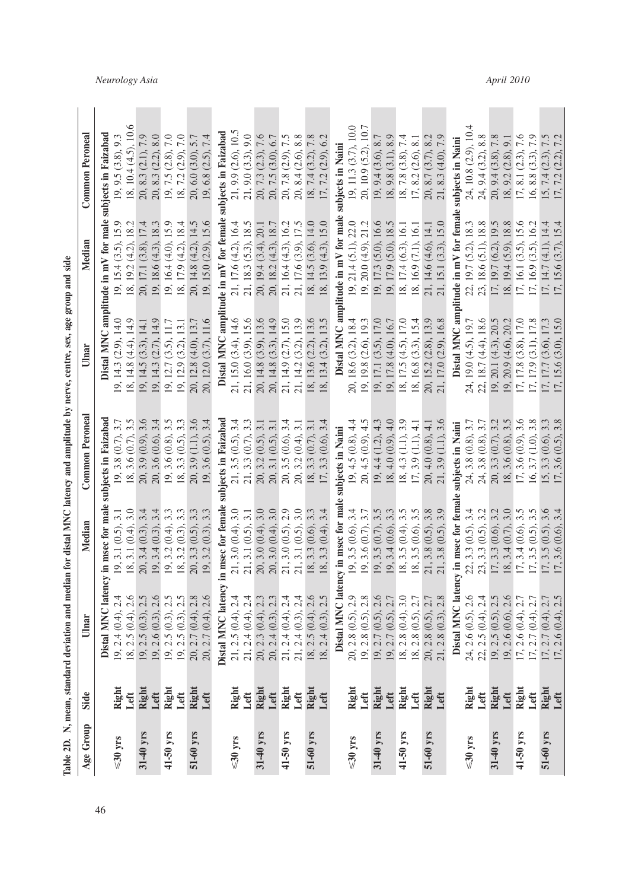| ₿                             |  |
|-------------------------------|--|
|                               |  |
|                               |  |
|                               |  |
|                               |  |
|                               |  |
|                               |  |
|                               |  |
|                               |  |
|                               |  |
|                               |  |
|                               |  |
|                               |  |
| nya cantra say aga granna ana |  |
|                               |  |
| $\frac{1}{2}$                 |  |
|                               |  |
|                               |  |
|                               |  |
|                               |  |
|                               |  |
|                               |  |
|                               |  |
|                               |  |
|                               |  |
|                               |  |
|                               |  |
|                               |  |
|                               |  |
|                               |  |
|                               |  |
|                               |  |
|                               |  |
|                               |  |
|                               |  |
|                               |  |
|                               |  |
|                               |  |
|                               |  |
|                               |  |
|                               |  |
|                               |  |
|                               |  |
|                               |  |
|                               |  |
|                               |  |
|                               |  |
|                               |  |
|                               |  |
|                               |  |
| - Ni manasa of-<br>ŕ          |  |
|                               |  |
|                               |  |
|                               |  |
|                               |  |
| Table 2D. IN<br>ĺ             |  |

| Age Group                | Side          | Ulnar                                                                                                                                                                                                                                                | Median                                                                                                                                                                                                    | <b>Common Peroneal</b>                                                                                                | Ulnar                                                                | Median                                                                                                                                           | Common Peroneal                                                                                                                            |
|--------------------------|---------------|------------------------------------------------------------------------------------------------------------------------------------------------------------------------------------------------------------------------------------------------------|-----------------------------------------------------------------------------------------------------------------------------------------------------------------------------------------------------------|-----------------------------------------------------------------------------------------------------------------------|----------------------------------------------------------------------|--------------------------------------------------------------------------------------------------------------------------------------------------|--------------------------------------------------------------------------------------------------------------------------------------------|
|                          |               | Distal MNC latency                                                                                                                                                                                                                                   | in msec for male                                                                                                                                                                                          | subjects in Faizabac                                                                                                  |                                                                      | Distal MNC amplitude in mV for male subjects in Faizabad                                                                                         |                                                                                                                                            |
| $\leq 30$ yrs            | Right         | [9, 2.4 (0.4), 2.4]                                                                                                                                                                                                                                  | $[19, 3.1 (0.5), 3.1\n18, 3.1 (0.4), 3.0\n20, 3.4 (0.3), 3.4\n19, 3.4 (0.3), 3.4\n19, 3.2 (0.4), 3.3\n19, 3.2 (0.5), 3.3\n19, 3.2 (0.3), 3.3$                                                             | 19, 3.8(0.7), 3.7                                                                                                     | 19, 14.3 $(2.9)$ , 14.0<br>18, 14.8 $(4.4)$ , 14.9                   | 19, 15.4 (3.5), 15.9<br>18, 19.2 (4.2), 18.2                                                                                                     | 19, 9.5 (3.8), 9.3                                                                                                                         |
|                          | Left          | 18, 2.5(0.4), 2.6                                                                                                                                                                                                                                    |                                                                                                                                                                                                           | 18, 3.6(0.7), 3.5                                                                                                     |                                                                      |                                                                                                                                                  | 18, 10.4 (4.5), 10.                                                                                                                        |
| 31-40 yrs                | Right         | 19, 2.5 (0.3), 2.5                                                                                                                                                                                                                                   |                                                                                                                                                                                                           | 20, 3.9 (0.9), 3.6                                                                                                    | 19, 14.5 $(3.3)$ , 14.1<br>19, 14.3 $(2.7)$ , 14.9                   | $\begin{array}{c} 20,\, 17.1\,(3.8),\, 17.4\\ 19,\, 18.6\,(4.3),\, 18.3\\ 19,\, 16.4\,(4.0),\, 15.9\\ 18,\, 17.9\,(4.2),\, 18.4 \end{array}$     | 20, 8.3 (2.1), 7.9<br>20, 8.3 (2.2), 8.0<br>19, 7.5 (2.8), 7.0<br>18, 7.2 (2.9), 7.0                                                       |
|                          | Left          | 19, 2.6 (0.3), 2.6                                                                                                                                                                                                                                   |                                                                                                                                                                                                           | 20, 3.6 (0.6), 3.4                                                                                                    |                                                                      |                                                                                                                                                  |                                                                                                                                            |
| 41-50 yrs                | Right         |                                                                                                                                                                                                                                                      |                                                                                                                                                                                                           | $19, 3.6 (0.8), 3.5$<br>$18, 3.3 (0.5), 3.3$                                                                          | 19, 12.7 (3.5), 11.7                                                 |                                                                                                                                                  |                                                                                                                                            |
|                          | Left          |                                                                                                                                                                                                                                                      |                                                                                                                                                                                                           |                                                                                                                       | 19, 12.9 (3.2), 13.1                                                 |                                                                                                                                                  |                                                                                                                                            |
| 51-60 yrs                | Right         | 19, 2.5 (0.3), 2.5<br>19, 2.5 (0.3), 2.5<br>20, 2.7 (0.4), 2.8<br>20, 2.7 (0.4), 2.6                                                                                                                                                                 |                                                                                                                                                                                                           |                                                                                                                       | 20, 12.8 (4.0), 13.7                                                 | 20, 14.8 (4.2), 14.5                                                                                                                             | 20, 6.0 (3.0), 5.7<br>19, 6.8 (2.5), 7.4                                                                                                   |
|                          | Left          |                                                                                                                                                                                                                                                      |                                                                                                                                                                                                           | $20, 3.9$ (1.1), 3.6<br>19, 3.6 (0.5), 3.4                                                                            | 20, 12.0 (3.7), 11.6                                                 | 19, 15.0 (2.9), 15.6                                                                                                                             |                                                                                                                                            |
|                          |               | <b>Distal MNC latency in msec for female su</b><br>21, 2.5 (0.4), 2.4<br>21, 2.4 (0.4), 2.4<br>21, 2.4 (0.4), 2.4<br>20, 2.3 (0.4), 2.3<br>20, 2.3 (0.4), 2.3<br>20, 3.0 (0.4), 3.0<br>21, 2.4 (0.4), 2.4<br>21, 2.4 (0.3), 2,4<br>21, 3.1 (0.5), 3. |                                                                                                                                                                                                           | bjects in Faizabad                                                                                                    | Distal MNC ampl                                                      | ude in mV for female                                                                                                                             | ojects in Faizabad                                                                                                                         |
| ${\lesssim}30~{\rm yrs}$ | Right         |                                                                                                                                                                                                                                                      |                                                                                                                                                                                                           | 21, 3.5 (0.5), 3.4                                                                                                    |                                                                      |                                                                                                                                                  |                                                                                                                                            |
|                          | Left          |                                                                                                                                                                                                                                                      |                                                                                                                                                                                                           | 21, 3.3 (0.7), 3.3                                                                                                    | $21, 15.0 (3.4), 14.6$ $21, 16.0 (3.9), 15.6$                        | $21, 17.6 (4.2), 16.4 21, 18.3 (5.3), 18.5$                                                                                                      | $\begin{array}{l} 21,9.9~(2.6),10.5 \\ 21,9.0~(3.3),9.0 \\ 20,7.3~(2.3),7.6 \\ 20,7.5~(3.0),6.7 \\ 20,7.8~(2.9),7.5 \end{array}$           |
| 31-40 yrs                | Right<br>Left |                                                                                                                                                                                                                                                      |                                                                                                                                                                                                           |                                                                                                                       | 20, 14.8 (3.9), 13.6                                                 |                                                                                                                                                  |                                                                                                                                            |
|                          |               |                                                                                                                                                                                                                                                      |                                                                                                                                                                                                           | $\begin{array}{c} 20, \, 3.2 \ (0.5), \, 3.1 \\ 20, \, 3.1 \ (0.5), \, 3.1 \\ 20, \, 3.5 \ (0.6), \, 3.4 \end{array}$ | 20, 14.8 $(3.3)$ , 14.9<br>21, 14.9 $(2.7)$ , 15.0                   | $\begin{array}{c} 20,\, 19.4\, (3.4),\, 20.1\\ 20,\, 18.2\, (4.3),\, 18.7\\ 21,\, 16.4\, (4.3),\, 16.2\\ 21,\, 17.6\, (3.9),\, 17.5 \end{array}$ |                                                                                                                                            |
| 41-50 yrs                | Right         |                                                                                                                                                                                                                                                      |                                                                                                                                                                                                           |                                                                                                                       |                                                                      |                                                                                                                                                  |                                                                                                                                            |
|                          | Left          |                                                                                                                                                                                                                                                      |                                                                                                                                                                                                           | 20, 3.2(0.4), 3.1                                                                                                     | 21, 14.2 (3.2), 13.9                                                 |                                                                                                                                                  | 20, 8.4 (2.6), 8.8                                                                                                                         |
| 51-60 yrs                | Right         | 18, 2.5 (0.4), 2.6<br>18, 2.4 (0.3), 2.5                                                                                                                                                                                                             |                                                                                                                                                                                                           | 18, 3.3 $(0.7)$ , 3.1<br>17, 3.3 $(0.6)$ , 3.4                                                                        | $18, 13.6 (2.2), 13.6 \n18, 13.4 (3.2), 13.5$                        | 18, 14.5 (3.6), 14.0<br>18, 13.9 (4.3), 15.0                                                                                                     | 18, 7.4 (3.2), 7.8<br>17, 7.2 (2.9), 6.2                                                                                                   |
|                          | Left          |                                                                                                                                                                                                                                                      | 18, 3.3 (0.6), 3.3<br>18, 3.3 (0.4), 3.4                                                                                                                                                                  |                                                                                                                       |                                                                      |                                                                                                                                                  |                                                                                                                                            |
|                          |               |                                                                                                                                                                                                                                                      | Distal MNC latency in msec for mal                                                                                                                                                                        | subjects in Naini                                                                                                     | Distal MNC am                                                        | itude in mV for male                                                                                                                             | ubjects in Naini                                                                                                                           |
| $\leq 30$ yrs            | Right         |                                                                                                                                                                                                                                                      |                                                                                                                                                                                                           |                                                                                                                       | 18.6 (3.2), 18.4<br>20,                                              |                                                                                                                                                  | 19, 11.3 (3.7), 10.0                                                                                                                       |
|                          | Left          | 20, 2.8 (0.5), 2.9<br>19, 2.8 (0.5), 2.8<br>19, 2.7 (0.5), 2.6<br>19, 2.7 (0.5), 2.7                                                                                                                                                                 | $[0, 3.5 (0.6), 3.4\n19, 3.6 (0.7), 3.7\n19, 3.5 (0.7), 3.5\n19, 3.4 (0.6), 3.3\n19, 3.4 (0.6), 3.3\n19, 3.5 (0.4), 3.5\n10, 3.5 (0.5), 3.8\n21, 3.8 (0.5), 3.9$                                          | 19, 4.5 $(0.8)$ , 4.4<br>20, 4.5 $(0.9)$ , 4.5                                                                        | 19, 19.8 (2.6), 19.3                                                 | 19, 21.4 (5.1), 22.0<br>19, 20.0 (4.9), 21.2                                                                                                     | 20, 10.9 (5.2), 10.7                                                                                                                       |
| 31-40 yrs                | Right         |                                                                                                                                                                                                                                                      |                                                                                                                                                                                                           | 19, 4.4 (1.2), 4.3<br>18, 4.0 (0.9), 4.0                                                                              | 19, 17.1 (3.5), 17.0                                                 | 19, 17.3 (5.0), 16.6<br>19, 17.9 (5.0), 18.5                                                                                                     |                                                                                                                                            |
|                          | Left          |                                                                                                                                                                                                                                                      |                                                                                                                                                                                                           |                                                                                                                       | 19, 17.8 (4.0), 16.7                                                 |                                                                                                                                                  |                                                                                                                                            |
| 41-50 yrs                | Right         | $\begin{array}{c} 18, 2.8 \ (0.4), 3.0 \\ 18, 2.8 \ (0.5), 2.7 \end{array}$                                                                                                                                                                          |                                                                                                                                                                                                           | $18, 4.3$ (1.1), 3.9                                                                                                  | 18, 17.5 (4.5), 17.0                                                 | 18, 17.4 (6.3), 16.1<br>18, 16.9 (7.1), 16.1                                                                                                     |                                                                                                                                            |
|                          | Left          |                                                                                                                                                                                                                                                      |                                                                                                                                                                                                           | $17, 3.9$ $(1.1), 4.1$                                                                                                | 18, 16.8 (3.3), 15.4                                                 |                                                                                                                                                  | $\begin{array}{c} 19,9.4\ (3.6),\ 8.7\\ 18,9.8\ (3.1),\ 8.9\\ 18,7.8\ (3.8),\ 7.4\\ 17,8.2\ (2.6),\ 8.1\\ 17,8.2\ (2.6),\ 8.1 \end{array}$ |
| 51-60 yrs                | Right         | $20, 2.8$ $(0.5), 2.7$                                                                                                                                                                                                                               |                                                                                                                                                                                                           | 20, 4.0 (0.8), 4.1<br>21, 3.9 (1.1), 3.6                                                                              | 20, 15.2 (2.8), 13.9                                                 | 21, 14.6 (4.6), 14.1                                                                                                                             |                                                                                                                                            |
|                          | Left          | 21, 2.8 (0.3), 2.8                                                                                                                                                                                                                                   |                                                                                                                                                                                                           |                                                                                                                       | 21, 17.0 (2.9), 16.8                                                 | 21, 15.1 (3.3), 15.0                                                                                                                             | 21, 8.3 (4.0), 7.9                                                                                                                         |
|                          |               |                                                                                                                                                                                                                                                      | Distal MNC latency in msec for femal                                                                                                                                                                      | subjects in Naini                                                                                                     | Distal MNC amp                                                       | itude in mV for femal                                                                                                                            | subjects in Naini                                                                                                                          |
| $\leq 30$ yrs            | Right<br>Left |                                                                                                                                                                                                                                                      |                                                                                                                                                                                                           | 24, 3.8 (0.8), 3.7                                                                                                    | 19.0(4.5), 19.7<br>24,                                               |                                                                                                                                                  | 24, 10.8 (2.9), 10.4                                                                                                                       |
|                          |               |                                                                                                                                                                                                                                                      |                                                                                                                                                                                                           | $24, 3.8$ (0.8), $3.7$                                                                                                | 22, 18.7 (4.4), 18.6                                                 |                                                                                                                                                  | 24, 9.4 (3.2), 8.8                                                                                                                         |
| 31-40 yrs                | Right         | 24, 2.6 (0.5), 2.6<br>22, 2.5 (0.4), 2.4<br>19, 2.5 (0.5), 2.5<br>19, 2.6 (0.6), 2.6<br>17, 2.6 (0.4), 2.7<br>17, 2.7 (0.4), 2.7                                                                                                                     | $\begin{array}{c} \text{22, 3.3 (0.5), 3.4} \\ \text{23, 3.3 (0.5), 3.2} \\ \text{17, 3.3 (0.6), 3.2} \\ \text{18, 3.4 (0.7), 3.0} \\ \text{17, 3.4 (0.6), 3.5} \\ \text{17, 3.5 (0.5), 3.5} \end{array}$ | 20, 3.3 (0.7), 3.2<br>18, 3.6 (0.8), 3.5<br>17, 3.6 (0.9), 3.6                                                        | 19, 20.1 (4.3), 20.5<br>19, 20.9 (4.6), 20.2<br>17, 17.8 (3.8), 17.0 | 22, 19.7 (5.2), 18.3<br>23, 18.6 (5.1), 18.8<br>17, 19.7 (6.2), 19.5<br>18, 19.4 (5.9), 18.8<br>17, 16.1 (3.5), 15.6<br>17, 16.9 (3.5), 16.2     | $\begin{array}{c} 20, 9.4 \ (3.8), 7.8 \\ 18, 9.2 \ (2.8), 9.1 \\ 17, 8.1 \ (2.3), 7.6 \end{array}$                                        |
|                          | Left          |                                                                                                                                                                                                                                                      |                                                                                                                                                                                                           |                                                                                                                       |                                                                      |                                                                                                                                                  |                                                                                                                                            |
| 41-50 yrs                | Right         |                                                                                                                                                                                                                                                      |                                                                                                                                                                                                           |                                                                                                                       |                                                                      |                                                                                                                                                  |                                                                                                                                            |
|                          | Left          |                                                                                                                                                                                                                                                      |                                                                                                                                                                                                           | $16, 3.7$ $(1.0), 3.8$                                                                                                | 17, 17.9 (3.1), 17.8                                                 |                                                                                                                                                  | 16, 8.8 (3.3), 7.9                                                                                                                         |
| 51-60 yrs                | Right<br>Left | 17, 2.7 (0.4), 2.7<br>2.6(0.4)                                                                                                                                                                                                                       | 17, 3.5(0.5), 3.6<br>$17, 3.6$ $(0.6)$ ,                                                                                                                                                                  | 15, 3.3 $(0.6)$ , 3.3<br>17, 3.6 $(0.5)$ , 3.8                                                                        | 15.0<br>17, 17.7 (3.6), 17.3<br>17, 15.6 (3.0),                      | 17, 14.7 (4.1), 14.4<br>17, 15.6 (3.7), 15.4                                                                                                     | 15, 7.4 $(2.3)$ , 7.5<br>17, 7.2 $(2.2)$ , 7.2                                                                                             |
|                          |               |                                                                                                                                                                                                                                                      |                                                                                                                                                                                                           |                                                                                                                       |                                                                      |                                                                                                                                                  |                                                                                                                                            |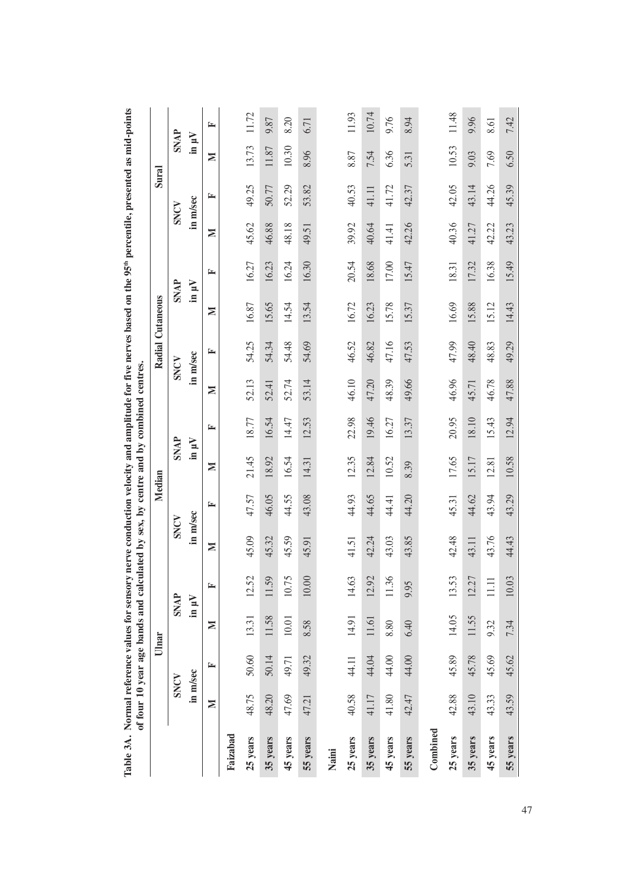| Table 3A. Normal reference values for sensory nerve conduction velocity and amplitude for five nerves based on the 95 <sup>th</sup> percentile, presented as mid-points | of four 10 year age bands and calculated by sex, by centre and by combined centres. |       |                |             |          |       |             |       |       |          |                  |       |       |          |             |       |
|-------------------------------------------------------------------------------------------------------------------------------------------------------------------------|-------------------------------------------------------------------------------------|-------|----------------|-------------|----------|-------|-------------|-------|-------|----------|------------------|-------|-------|----------|-------------|-------|
|                                                                                                                                                                         |                                                                                     |       | Ulnar          |             |          |       | Median      |       |       |          | Radial Cutaneous |       |       | Sural    |             |       |
|                                                                                                                                                                         | SNCV                                                                                |       |                | <b>SNAP</b> | SNCV     |       | <b>SNAP</b> |       |       | SNCV     | <b>SNAP</b>      |       |       | SNCV     | <b>SNAP</b> |       |
|                                                                                                                                                                         | in m/sec                                                                            |       | in $\mu\rm{V}$ |             | in m/sec |       | in $\mu$ V  |       |       | in m/sec | in $\mu$ V       |       |       | in m/sec | $\ln \mu V$ |       |
|                                                                                                                                                                         | $\geq$                                                                              | ≃     | Σ              | 匞           | N        | ≃     | N           | ⋤     | N     | ⋤        | z                | ⋤     | Σ     | ≃        | Σ           | ⋤     |
| Faizabad                                                                                                                                                                |                                                                                     |       |                |             |          |       |             |       |       |          |                  |       |       |          |             |       |
| 25 years                                                                                                                                                                | 48.75                                                                               | 50.60 | 13.31          | 12.52       | 45.09    | 47.57 | 21.45       | 18.77 | 52.13 | 54.25    | 16.87            | 16.27 | 45.62 | 49.25    | 13.73       | 11.72 |
| 35 years                                                                                                                                                                | 48.20                                                                               | 50.14 | 11.58          | 11.59       | 45.32    | 46.05 | 18.92       | 16.54 | 52.41 | 54.34    | 15.65            | 16.23 | 46.88 | 50.77    | 11.87       | 9.87  |
| 45 years                                                                                                                                                                | 47.69                                                                               | 49.71 | $10.01$        | 10.75       | 45.59    | 44.55 | 16.54       | 14.47 | 52.74 | 54.48    | 14.54            | 16.24 | 48.18 | 52.29    | 10.30       | 8.20  |
| 55 years                                                                                                                                                                | 47.21                                                                               | 49.32 | 8.58           | 10.00       | 45.91    | 43.08 | 14.31       | 12.53 | 53.14 | 54.69    | 13.54            | 16.30 | 49.51 | 53.82    | 8.96        | 6.71  |
| Naini                                                                                                                                                                   |                                                                                     |       |                |             |          |       |             |       |       |          |                  |       |       |          |             |       |
| 25 years                                                                                                                                                                | 40.58                                                                               | 44.11 | 14.91          | 14.63       | 41.51    | 44.93 | 12.35       | 22.98 | 46.10 | 46.52    | 16.72            | 20.54 | 39.92 | 40.53    | 8.87        | 11.93 |
| 35 years                                                                                                                                                                | 41.17                                                                               | 44.04 | 11.61          | 12.92       | 42.24    | 44.65 | 12.84       | 19.46 | 47.20 | 46.82    | 16.23            | 18.68 | 40.64 | 41.11    | 7.54        | 10.74 |
| 45 years                                                                                                                                                                | 41.80                                                                               | 44.00 | 8.80           | 11.36       | 43.03    | 44.41 | 10.52       | 16.27 | 48.39 | 47.16    | 15.78            | 17.00 | 41.41 | 41.72    | 6.36        | 9.76  |
| 55 years                                                                                                                                                                | 42.47                                                                               | 44.00 | 6.40           | 9.95        | 43.85    | 44.20 | 8.39        | 13.37 | 49.66 | 47.53    | 15.37            | 15.47 | 42.26 | 42.37    | 5.31        | 8.94  |
| Combined                                                                                                                                                                |                                                                                     |       |                |             |          |       |             |       |       |          |                  |       |       |          |             |       |
| 25 years                                                                                                                                                                | 42.88                                                                               | 45.89 | 14.05          | 13.53       | 42.48    | 45.31 | 17.65       | 20.95 | 46.96 | 47.99    | 16.69            | 18.31 | 40.36 | 42.05    | 10.53       | 11.48 |
| 35 years                                                                                                                                                                | 43.10                                                                               | 45.78 | 11.55          | 12.27       | 43.11    | 44.62 | 15.17       | 18.10 | 45.71 | 48.40    | 15.88            | 17.32 | 41.27 | 43.14    | 9.03        | 9.96  |
| 45 years                                                                                                                                                                | 43.33                                                                               | 45.69 | 9.32           | $\Xi$       | 43.76    | 43.94 | 12.81       | 15.43 | 46.78 | 48.83    | 15.12            | 16.38 | 42.22 | 44.26    | 7.69        | 8.61  |
| 55 years                                                                                                                                                                | 43.59                                                                               | 45.62 | 7.34           | 10.03       | 44.43    | 43.29 | 10.58       | 12.94 | 47.88 | 49.29    | 14.43            | 15.49 | 43.23 | 45.39    | 6.50        | 7.42  |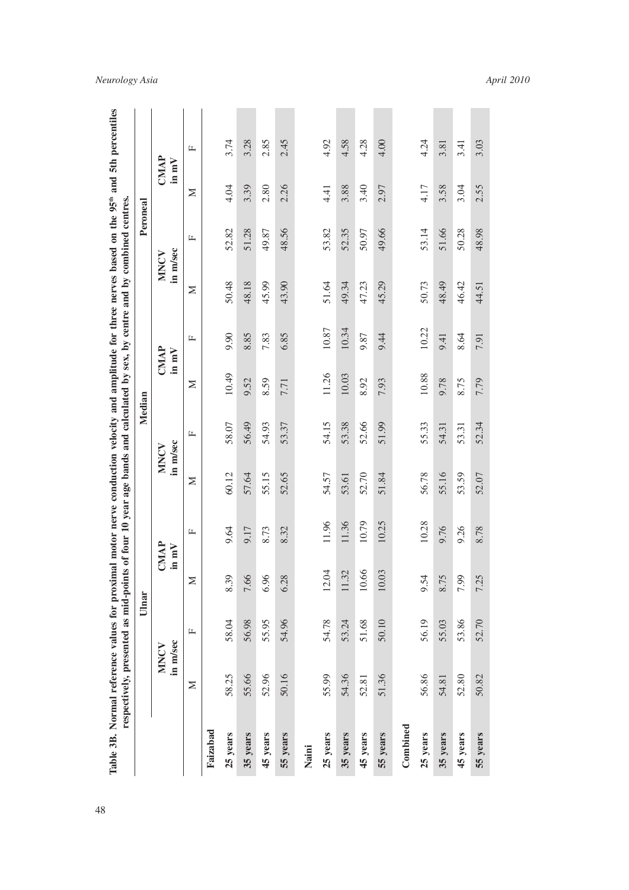|          | respectively, presented as mid-points of four 10 year age bands and calculated by sex, by centre and by combined centres. |              |                                     |       |                  |        |               |       |                  |              |               |      |  |
|----------|---------------------------------------------------------------------------------------------------------------------------|--------------|-------------------------------------|-------|------------------|--------|---------------|-------|------------------|--------------|---------------|------|--|
|          |                                                                                                                           | Ulnar        |                                     |       |                  | Median |               |       |                  | Peroneal     |               |      |  |
|          | in m/sec<br>MNCV                                                                                                          |              | CMAP<br>in $mV$                     |       | in m/sec<br>MNCV |        | CMAP<br>in mV |       | in m/sec<br>MNCV |              | CMAP<br>in mV |      |  |
|          | Σ                                                                                                                         | $\mathbf{L}$ | Σ                                   | щ     | Σ                | щ      | Σ             | Щ     | Σ                | $\mathbf{L}$ | Σ             | щ    |  |
| Faizabad |                                                                                                                           |              |                                     |       |                  |        |               |       |                  |              |               |      |  |
| 25 years | 58.25                                                                                                                     | 58.04        | $\circ$<br>8.3                      | 9.64  | 60.12            | 58.07  | 10.49         | 9.90  | 50.48            | 52.82        | 4.04          | 3.74 |  |
| 35 years | 55.66                                                                                                                     | 56.98        | 7.66                                | 9.17  | 57.64            | 56.49  | 9.52          | 8.85  | 48.18            | 51.28        | 3.39          | 3.28 |  |
| 45 years | 52.96                                                                                                                     | 55.95        | $\circ$<br>6.9                      | 8.73  | 55.15            | 54.93  | 8.59          | 7.83  | 45.99            | 49.87        | 2.80          | 2.85 |  |
| 55 years | 50.16                                                                                                                     | 54.96        | $\infty$<br>6.2                     | 8.32  | 52.65            | 53.37  | 7.71          | 6.85  | 43.90            | 48.56        | 2.26          | 2.45 |  |
| Naini    |                                                                                                                           |              |                                     |       |                  |        |               |       |                  |              |               |      |  |
| 25 years | 55.99                                                                                                                     | 54.78        | 12.04                               | 11.96 | 54.57            | 54.15  | 11.26         | 10.87 | 51.64            | 53.82        | 4.41          | 4.92 |  |
| 35 years | 54.36                                                                                                                     | 53.24        | 11.32                               | 11.36 | 53.61            | 53.38  | 10.03         | 10.34 | 49.34            | 52.35        | 3.88          | 4.58 |  |
| 45 years | 52.81                                                                                                                     | 51.68        | 66<br>$\overline{10}$ .             | 10.79 | 52.70            | 52.66  | 8.92          | 9.87  | 47.23            | 50.97        | 3.40          | 4.28 |  |
| 55 years | 51.36                                                                                                                     | 50.10        | 0 <sup>3</sup><br>$\overline{10}$ . | 10.25 | 51.84            | 51.99  | 7.93          | 9.44  | 45.29            | 49.66        | 2.97          | 4.00 |  |
| Combined |                                                                                                                           |              |                                     |       |                  |        |               |       |                  |              |               |      |  |
| 25 years | 56.86                                                                                                                     | 56.19        | 9.54                                | 10.28 | 56.78            | 55.33  | 10.88         | 10.22 | 50.73            | 53.14        | 4.17          | 4.24 |  |
| 35 years | 54.81                                                                                                                     | 55.03        | $\sigma$<br>8.7                     | 9.76  | 55.16            | 54.31  | 9.78          | 9.41  | 48.49            | 51.66        | 3.58          | 3.81 |  |
| 45 years | 52.80                                                                                                                     | 53.86        | $\circ$<br>7.9                      | 9.26  | 53.59            | 53.31  | 8.75          | 8.64  | 46.42            | 50.28        | 3.04          | 3.41 |  |
| 55 years | 50.82                                                                                                                     | 52.70        | 5<br>7.2                            | 8.78  | 52.07            | 52.34  | 7.79          | 7.91  | 44.51            | 48.98        | 2.55          | 3.03 |  |
|          |                                                                                                                           |              |                                     |       |                  |        |               |       |                  |              |               |      |  |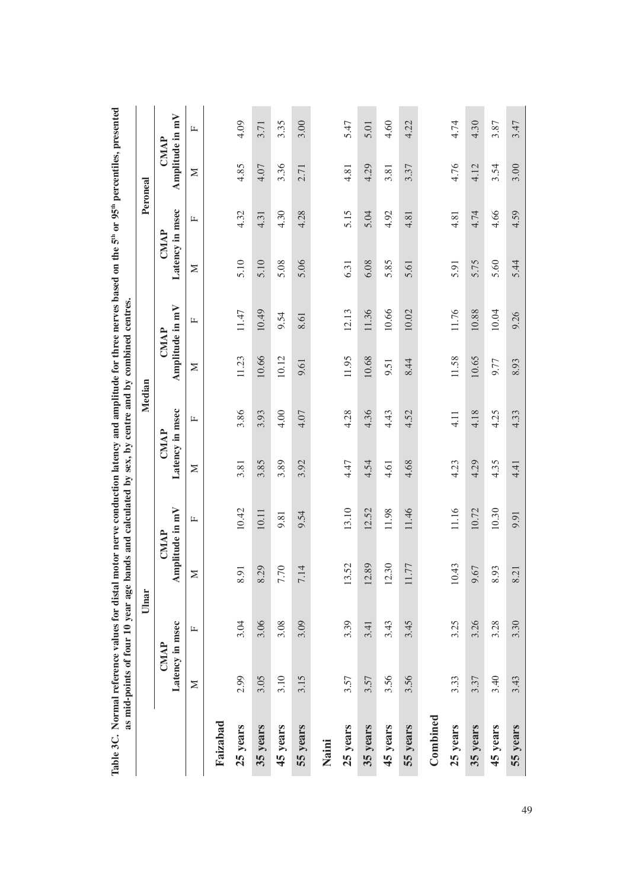| Table 3C. Normal reference values for distal motor nerve conduction latency and amplitude for three nerves based on the 5 <sup>th</sup> or 95 <sup>th</sup> percentiles, presented | as mid-points of four 10 year age bands and calculated by sex, by centre and by combined centres. |       |                            |       |                         |        |                         |       |                                |      |                         |      |
|------------------------------------------------------------------------------------------------------------------------------------------------------------------------------------|---------------------------------------------------------------------------------------------------|-------|----------------------------|-------|-------------------------|--------|-------------------------|-------|--------------------------------|------|-------------------------|------|
|                                                                                                                                                                                    |                                                                                                   | Ulnar |                            |       |                         | Median |                         |       |                                |      | Peroneal                |      |
|                                                                                                                                                                                    | Latency in msec<br><b>CMAP</b>                                                                    |       | Amplitude in mV<br>CMAP    |       | Latency in msec<br>CMAP |        | Amplitude in mV<br>CMAP |       | Latency in msec<br><b>CMAP</b> |      | Amplitude in mV<br>CMAP |      |
|                                                                                                                                                                                    | Σ                                                                                                 | щ     | $\geq$                     | 山     | Σ                       | щ      | $\geq$                  | Щ     | $\geq$                         | Щ    | Σ                       | щ    |
| Faizabad                                                                                                                                                                           |                                                                                                   |       |                            |       |                         |        |                         |       |                                |      |                         |      |
| 25 years                                                                                                                                                                           | 2.99                                                                                              | 3.04  | $\overline{5}$<br>$\infty$ | 10.42 | 3.81                    | 3.86   | 11.23                   | 11.47 | 5.10                           | 4.32 | 4.85                    | 4.09 |
| 35 years                                                                                                                                                                           | 3.05                                                                                              | 3.06  | .29<br>$\infty$            | 10.11 | 3.85                    | 3.93   | 10.66                   | 10.49 | 5.10                           | 4.31 | 4.07                    | 3.71 |
| 45 years                                                                                                                                                                           | 3.10                                                                                              | 3.08  | 70<br>$\overline{ }$       | 9.81  | 3.89                    | 4.00   | 10.12                   | 9.54  | 5.08                           | 4.30 | 3.36                    | 3.35 |
| 55 years                                                                                                                                                                           | 3.15                                                                                              | 3.09  | 7.14                       | 9.54  | 3.92                    | 4.07   | 9.61                    | 8.61  | 5.06                           | 4.28 | 2.71                    | 3.00 |
| Naini                                                                                                                                                                              |                                                                                                   |       |                            |       |                         |        |                         |       |                                |      |                         |      |
| 25 years                                                                                                                                                                           | 3.57                                                                                              | 3.39  | 13.52                      | 13.10 | 4.47                    | 4.28   | 11.95                   | 12.13 | 6.31                           | 5.15 | 4.81                    | 5.47 |
| 35 years                                                                                                                                                                           | 3.57                                                                                              | 3.41  | 12.89                      | 12.52 | 4.54                    | 4.36   | 10.68                   | 11.36 | 6.08                           | 5.04 | 4.29                    | 5.01 |
| 45 years                                                                                                                                                                           | 3.56                                                                                              | 3.43  | 12.30                      | 11.98 | 4.61                    | 4.43   | 9.51                    | 10.66 | 5.85                           | 4.92 | 3.81                    | 4.60 |
| 55 years                                                                                                                                                                           | 3.56                                                                                              | 3.45  | .77                        | 11.46 | 4.68                    | 4.52   | 8.44                    | 10.02 | 5.61                           | 4.81 | 3.37                    | 4.22 |
| Combined                                                                                                                                                                           |                                                                                                   |       |                            |       |                         |        |                         |       |                                |      |                         |      |
| 25 years                                                                                                                                                                           | 3.33                                                                                              | 3.25  | 143<br>$\Xi$               | 11.16 | 4.23                    | 4.11   | 11.58                   | 11.76 | 5.91                           | 4.81 | 4.76                    | 4.74 |
| 35 years                                                                                                                                                                           | 3.37                                                                                              | 3.26  | 67<br>$\mathcal{Q}$        | 10.72 | 4.29                    | 4.18   | 10.65                   | 10.88 | 5.75                           | 4.74 | 4.12                    | 4.30 |
| 45 years                                                                                                                                                                           | 3.40                                                                                              | 3.28  | 93<br>$\infty$             | 10.30 | 4.35                    | 4.25   | 9.77                    | 10.04 | 5.60                           | 4.66 | 3.54                    | 3.87 |
| 55 years                                                                                                                                                                           | 3.43                                                                                              | 3.30  | $\overline{c}$<br>$\infty$ | 9.91  | 4.41                    | 4.33   | 8.93                    | 9.26  | 5.44                           | 4.59 | 3.00                    | 3.47 |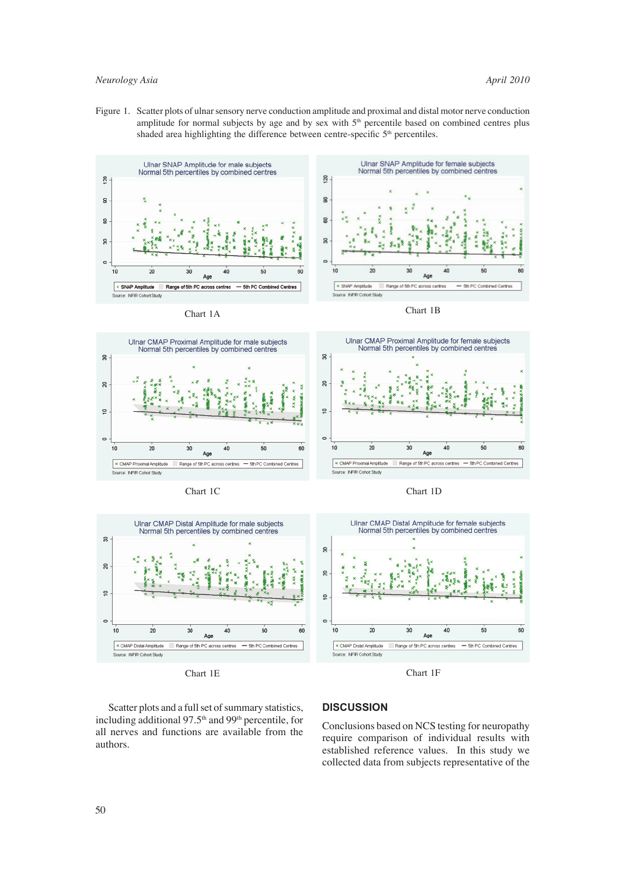Figure 1. Scatter plots of ulnar sensory nerve conduction amplitude and proximal and distal motor nerve conduction amplitude for normal subjects by age and by sex with  $5<sup>th</sup>$  percentile based on combined centres plus shaded area highlighting the difference between centre-specific  $5<sup>th</sup>$  percentiles.



- 5th PC Combined Centres



x CMAP Proximal Amplitude

urce: INFIR Cohort Study

Chart 1C Chart 1D

Range of 5th PC across centres

5th PC Combined Centres





Chart 1E Chart 1F

 Scatter plots and a full set of summary statistics, including additional 97.5<sup>th</sup> and 99<sup>th</sup> percentile, for all nerves and functions are available from the authors.

## **DISCUSSION**

**x** CMAP Proximal Amplitude

**NFRC** 

Conclusions based on NCS testing for neuropathy require comparison of individual results with established reference values. In this study we collected data from subjects representative of the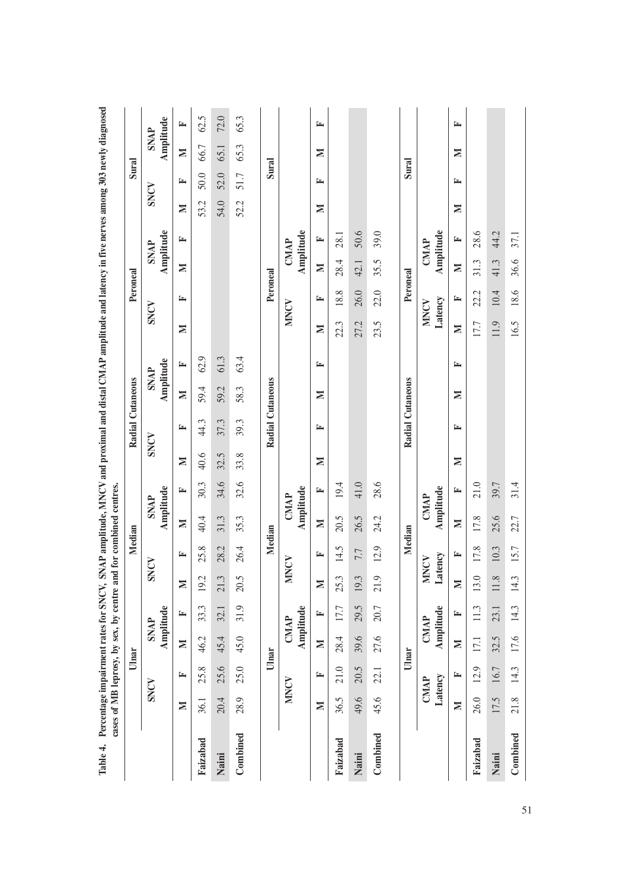|          |                   |                        | Ulnar             |                          |                   | Median          |                          |             |        | Radial Cutaneous |                          |      |        | Peroneal               |      |                          |      | Sural |                          |      |
|----------|-------------------|------------------------|-------------------|--------------------------|-------------------|-----------------|--------------------------|-------------|--------|------------------|--------------------------|------|--------|------------------------|------|--------------------------|------|-------|--------------------------|------|
|          |                   | SNCV                   | <b>SNAP</b>       | Amplitude                |                   | SNCV            | Amplitude<br><b>SNAP</b> |             |        | SNCV             | Amplitude<br><b>SNAP</b> |      |        | SNCV                   |      | Amplitude<br><b>SNAP</b> | SNCV |       | Amplitude<br><b>SNAP</b> |      |
|          | Σ                 | 匞                      | Σ                 | 匞                        | Σ                 | 匞               | $\geq$                   | 匞           | Σ      | 匞                | Σ                        | 匞    | Σ      | ≃                      | Σ    | 匞                        | Σ    | 匞     | Σ                        | 匞    |
| Faizabad | 36.1              | 25.8                   | 46.2              | 33.3                     | 19.2              | 25.8            | 40.4                     | 30.3        | 40.6   | 44.3             | 59.4                     | 62.9 |        |                        |      |                          | 53.2 | 50.0  | 66.7                     | 62.5 |
| Naini    | 20.4              | 25.6                   | 45.4              | 32.1                     | 21.3              | 28.2            | 31.3                     | 34.6        | 32.5   | 37.3             | 59.2                     | 61.3 |        |                        |      |                          | 54.0 | 52.0  | 65.1                     | 72.0 |
| Combined | 28.9              | 25.0                   | 45.0              | 31.9                     | 20.5              | 26.4            | 35.3                     | 32.6        | 33.8   | 39.3             | 58.3                     | 63.4 |        |                        |      |                          | 52.2 | 51.7  | 65.3                     | 65.3 |
|          |                   | Ulnar                  |                   |                          |                   | Median          |                          |             |        | Radial Cutaneous |                          |      |        | Peroneal               |      |                          |      | Sural |                          |      |
|          |                   | MNCV                   |                   | Amplitude<br><b>CMAP</b> | <b>MNCV</b>       |                 | Amplitude                | <b>CMAP</b> |        |                  |                          |      |        | <b>NDKIN</b>           |      | Amplitude<br><b>CMAP</b> |      |       |                          |      |
|          | Σ                 | E                      | $\geq$            | E                        | Σ                 | ≃               | $\blacksquare$           | ≃           | Σ      | ⋤                | Σ                        | ≃    | Σ      | 匞                      | Σ    | E                        | Σ    | 匞     | Σ                        | E    |
| Faizabad | 36.5              | 21.0                   | 28.4              | 17.7                     | 25.3              | 14.5            | 20.5                     | 19.4        |        |                  |                          |      | 22.3   | 18.8                   | 28.4 | 28.1                     |      |       |                          |      |
| Naini    | 49.6              | 20.5                   | 39.6              | 29.5                     | 19.3              | 7.7             | 26.5                     | 41.0        |        |                  |                          |      | 27.2   | 26.0                   | 42.1 | 50.6                     |      |       |                          |      |
| Combined | 45.6              | 22.1                   | 27.6              | 20.7                     | 21.9              | 12.9            | 24.2                     | 28.6        |        |                  |                          |      | 23.5   | 22.0                   | 35.5 | 39.0                     |      |       |                          |      |
|          |                   |                        | Ulnar             |                          |                   | Median          |                          |             |        | Radial Cutaneous |                          |      |        | Peroneal               |      |                          |      | Sural |                          |      |
|          |                   | Latency<br><b>CMAP</b> | CMAP              | Amplitude                | Z                 | Latency<br>INCV | Amplitude<br><b>CMAP</b> |             |        |                  |                          |      |        | Latency<br><b>MNCV</b> |      | Amplitude<br><b>CMAP</b> |      |       |                          |      |
|          | $\mathbf{\Sigma}$ | 匞                      | $\mathbf{\Sigma}$ | 匞                        | $\mathbf{\Sigma}$ | ┗               | $\geq$                   | 匞           | $\geq$ | 匞                | Σ                        | ≃    | $\geq$ | ≃                      | Σ    | ┗                        | Σ    | 匞     | $\mathbb N$              | 匞    |
| Faizabad | 26.0              | 12.9                   | 17.1              | 11.3                     | 13.0              | 17.8            | 17.8                     | 21.0        |        |                  |                          |      | 17.7   | 22.2                   | 31.3 | 28.6                     |      |       |                          |      |
| Naini    | 17.5              | 16.7                   | 32.5              | 23.1                     | 11.8              | 10.3            | 25.6                     | 39.7        |        |                  |                          |      | 11.9   | 10.4                   | 41.3 | 44.2                     |      |       |                          |      |
| Combined | 21.8              | 14.3                   | 17.6              | 14.3                     | 14.3              | 15.7            | 22.7                     | 31.4        |        |                  |                          |      | 16.5   | 18.6                   | 36.6 | 37.1                     |      |       |                          |      |
|          |                   |                        |                   |                          |                   |                 |                          |             |        |                  |                          |      |        |                        |      |                          |      |       |                          |      |

51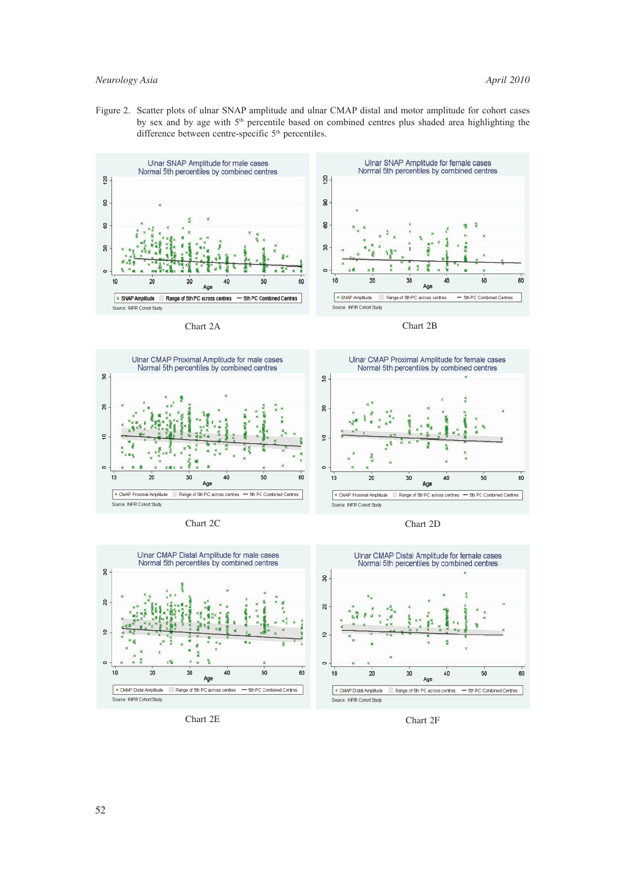Figure 2. Scatter plots of ulnar SNAP amplitude and ulnar CMAP distal and motor amplitude for cohort cases by sex and by age with 5<sup>th</sup> percentile based on combined centres plus shaded area highlighting the difference between centre-specific 5<sup>th</sup> percentiles.













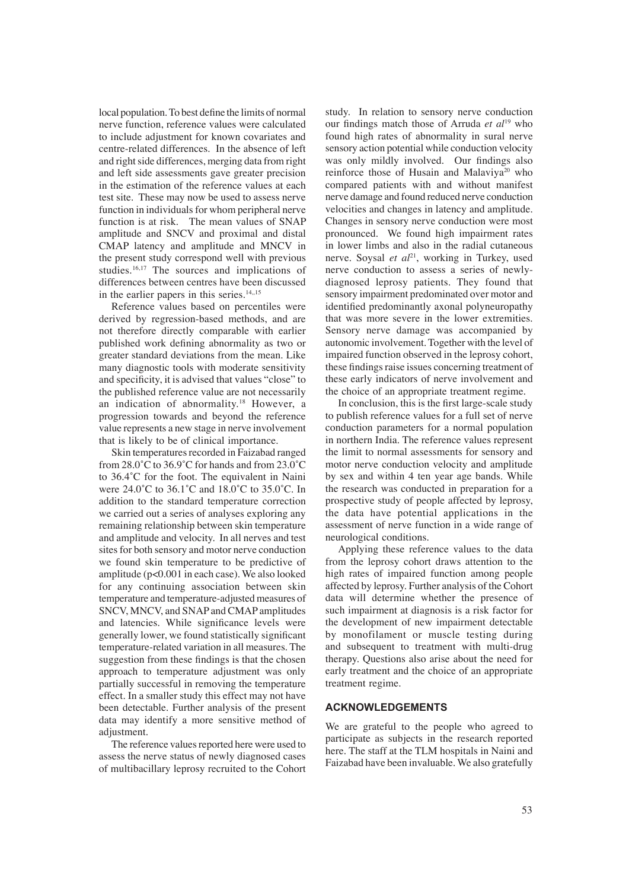local population. To best define the limits of normal nerve function, reference values were calculated to include adjustment for known covariates and centre-related differences. In the absence of left and right side differences, merging data from right and left side assessments gave greater precision in the estimation of the reference values at each test site. These may now be used to assess nerve function in individuals for whom peripheral nerve function is at risk. The mean values of SNAP amplitude and SNCV and proximal and distal CMAP latency and amplitude and MNCV in the present study correspond well with previous studies.16,17 The sources and implications of differences between centres have been discussed in the earlier papers in this series. $14,15$ 

 Reference values based on percentiles were derived by regression-based methods, and are not therefore directly comparable with earlier published work defining abnormality as two or greater standard deviations from the mean. Like many diagnostic tools with moderate sensitivity and specificity, it is advised that values "close" to the published reference value are not necessarily an indication of abnormality.18 However, a progression towards and beyond the reference value represents a new stage in nerve involvement that is likely to be of clinical importance.

 Skin temperatures recorded in Faizabad ranged from 28.0˚C to 36.9˚C for hands and from 23.0˚C to 36.4˚C for the foot. The equivalent in Naini were 24.0˚C to 36.1˚C and 18.0˚C to 35.0˚C. In addition to the standard temperature correction we carried out a series of analyses exploring any remaining relationship between skin temperature and amplitude and velocity. In all nerves and test sites for both sensory and motor nerve conduction we found skin temperature to be predictive of amplitude (p<0.001 in each case). We also looked for any continuing association between skin temperature and temperature-adjusted measures of SNCV, MNCV, and SNAP and CMAP amplitudes and latencies. While significance levels were generally lower, we found statistically significant temperature-related variation in all measures. The suggestion from these findings is that the chosen approach to temperature adjustment was only partially successful in removing the temperature effect. In a smaller study this effect may not have been detectable. Further analysis of the present data may identify a more sensitive method of adjustment.

 The reference values reported here were used to assess the nerve status of newly diagnosed cases of multibacillary leprosy recruited to the Cohort study. In relation to sensory nerve conduction our findings match those of Arruda *et al*<sup>19</sup> who found high rates of abnormality in sural nerve sensory action potential while conduction velocity was only mildly involved. Our findings also reinforce those of Husain and Malaviya<sup>20</sup> who compared patients with and without manifest nerve damage and found reduced nerve conduction velocities and changes in latency and amplitude. Changes in sensory nerve conduction were most pronounced. We found high impairment rates in lower limbs and also in the radial cutaneous nerve. Soysal *et al*<sup>21</sup>, working in Turkey, used nerve conduction to assess a series of newlydiagnosed leprosy patients. They found that sensory impairment predominated over motor and identified predominantly axonal polyneuropathy that was more severe in the lower extremities. Sensory nerve damage was accompanied by autonomic involvement. Together with the level of impaired function observed in the leprosy cohort, these findings raise issues concerning treatment of these early indicators of nerve involvement and the choice of an appropriate treatment regime.

In conclusion, this is the first large-scale study to publish reference values for a full set of nerve conduction parameters for a normal population in northern India. The reference values represent the limit to normal assessments for sensory and motor nerve conduction velocity and amplitude by sex and within 4 ten year age bands. While the research was conducted in preparation for a prospective study of people affected by leprosy, the data have potential applications in the assessment of nerve function in a wide range of neurological conditions.

 Applying these reference values to the data from the leprosy cohort draws attention to the high rates of impaired function among people affected by leprosy. Further analysis of the Cohort data will determine whether the presence of such impairment at diagnosis is a risk factor for the development of new impairment detectable by monofilament or muscle testing during and subsequent to treatment with multi-drug therapy. Questions also arise about the need for early treatment and the choice of an appropriate treatment regime.

### **ACKNOWLEDGEMENTS**

We are grateful to the people who agreed to participate as subjects in the research reported here. The staff at the TLM hospitals in Naini and Faizabad have been invaluable. We also gratefully